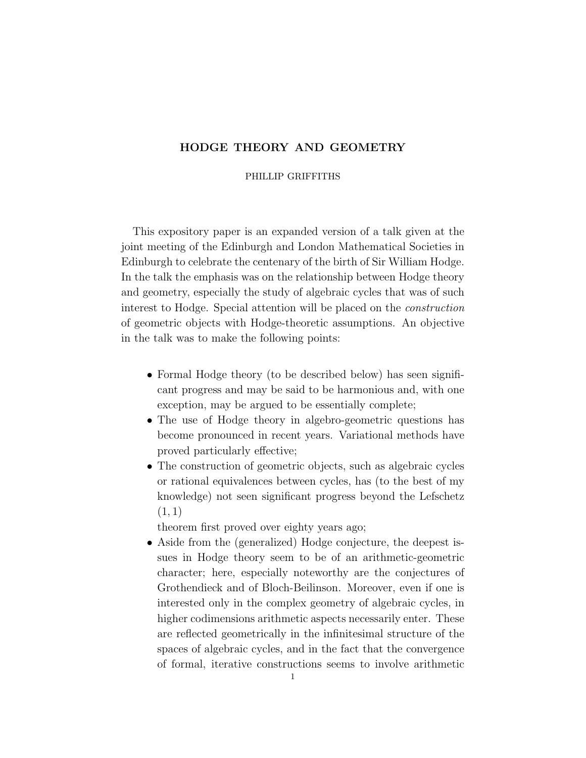# HODGE THEORY AND GEOMETRY

#### PHILLIP GRIFFITHS

This expository paper is an expanded version of a talk given at the joint meeting of the Edinburgh and London Mathematical Societies in Edinburgh to celebrate the centenary of the birth of Sir William Hodge. In the talk the emphasis was on the relationship between Hodge theory and geometry, especially the study of algebraic cycles that was of such interest to Hodge. Special attention will be placed on the construction of geometric objects with Hodge-theoretic assumptions. An objective in the talk was to make the following points:

- Formal Hodge theory (to be described below) has seen significant progress and may be said to be harmonious and, with one exception, may be argued to be essentially complete;
- The use of Hodge theory in algebro-geometric questions has become pronounced in recent years. Variational methods have proved particularly effective;
- The construction of geometric objects, such as algebraic cycles or rational equivalences between cycles, has (to the best of my knowledge) not seen significant progress beyond the Lefschetz  $(1, 1)$

theorem first proved over eighty years ago;

• Aside from the (generalized) Hodge conjecture, the deepest issues in Hodge theory seem to be of an arithmetic-geometric character; here, especially noteworthy are the conjectures of Grothendieck and of Bloch-Beilinson. Moreover, even if one is interested only in the complex geometry of algebraic cycles, in higher codimensions arithmetic aspects necessarily enter. These are reflected geometrically in the infinitesimal structure of the spaces of algebraic cycles, and in the fact that the convergence of formal, iterative constructions seems to involve arithmetic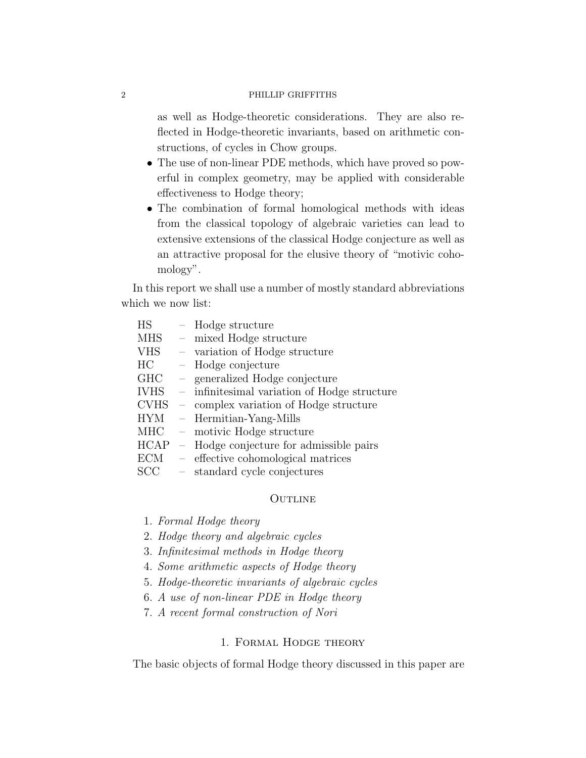as well as Hodge-theoretic considerations. They are also reflected in Hodge-theoretic invariants, based on arithmetic constructions, of cycles in Chow groups.

- The use of non-linear PDE methods, which have proved so powerful in complex geometry, may be applied with considerable effectiveness to Hodge theory;
- The combination of formal homological methods with ideas from the classical topology of algebraic varieties can lead to extensive extensions of the classical Hodge conjecture as well as an attractive proposal for the elusive theory of "motivic cohomology".

In this report we shall use a number of mostly standard abbreviations which we now list:

| <b>HS</b>   | $\frac{1}{2}$ | Hodge structure                              |
|-------------|---------------|----------------------------------------------|
| MHS         | $\equiv$ .    | mixed Hodge structure                        |
| <b>VHS</b>  |               | - variation of Hodge structure               |
| HC          |               | $-$ Hodge conjecture                         |
| GHC         |               | - generalized Hodge conjecture               |
| <b>IVHS</b> |               | - infinitesimal variation of Hodge structure |
| <b>CVHS</b> |               | - complex variation of Hodge structure       |
| <b>HYM</b>  |               | - Hermitian-Yang-Mills                       |
| MHC         |               | - motivic Hodge structure                    |
| <b>HCAP</b> |               | - Hodge conjecture for admissible pairs      |
| ECM         |               | - effective cohomological matrices           |
| SCC         | $\equiv$      | standard cycle conjectures                   |
|             |               |                                              |

#### **OUTLINE**

- 1. Formal Hodge theory
- 2. Hodge theory and algebraic cycles
- 3. Infinitesimal methods in Hodge theory
- 4. Some arithmetic aspects of Hodge theory
- 5. Hodge-theoretic invariants of algebraic cycles
- 6. A use of non-linear PDE in Hodge theory
- 7. A recent formal construction of Nori

## 1. Formal Hodge theory

The basic objects of formal Hodge theory discussed in this paper are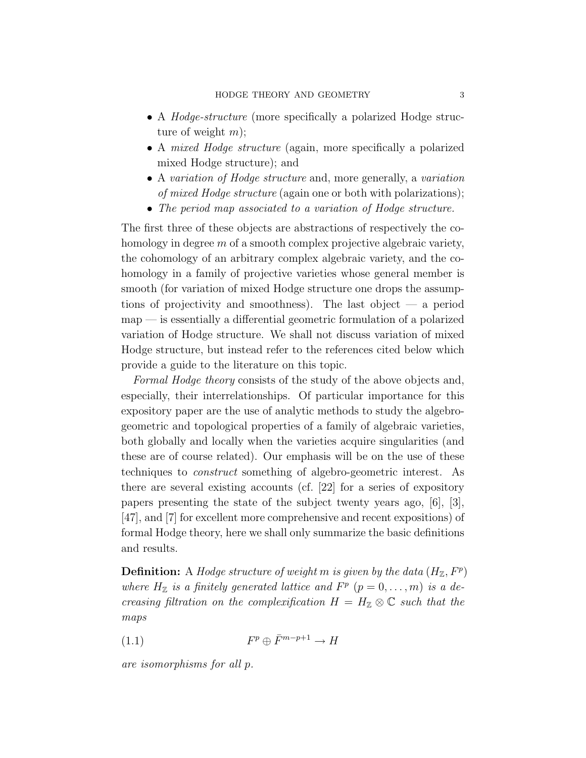- A *Hodge-structure* (more specifically a polarized Hodge structure of weight  $m$ );
- A *mixed Hodge structure* (again, more specifically a polarized mixed Hodge structure); and
- A variation of Hodge structure and, more generally, a variation of mixed Hodge structure (again one or both with polarizations);
- The period map associated to a variation of Hodge structure.

The first three of these objects are abstractions of respectively the cohomology in degree  $m$  of a smooth complex projective algebraic variety, the cohomology of an arbitrary complex algebraic variety, and the cohomology in a family of projective varieties whose general member is smooth (for variation of mixed Hodge structure one drops the assumptions of projectivity and smoothness). The last object — a period  $map$  — is essentially a differential geometric formulation of a polarized variation of Hodge structure. We shall not discuss variation of mixed Hodge structure, but instead refer to the references cited below which provide a guide to the literature on this topic.

Formal Hodge theory consists of the study of the above objects and, especially, their interrelationships. Of particular importance for this expository paper are the use of analytic methods to study the algebrogeometric and topological properties of a family of algebraic varieties, both globally and locally when the varieties acquire singularities (and these are of course related). Our emphasis will be on the use of these techniques to construct something of algebro-geometric interest. As there are several existing accounts (cf. [22] for a series of expository papers presenting the state of the subject twenty years ago, [6], [3], [47], and [7] for excellent more comprehensive and recent expositions) of formal Hodge theory, here we shall only summarize the basic definitions and results.

**Definition:** A Hodge structure of weight m is given by the data  $(H_{\mathbb{Z}}, F^p)$ where  $H_{\mathbb{Z}}$  is a finitely generated lattice and  $F^p$   $(p = 0, \ldots, m)$  is a decreasing filtration on the complexification  $H = H_{\mathbb{Z}} \otimes \mathbb{C}$  such that the maps

$$
(1.1) \tFp \oplus \bar{F}^{m-p+1} \to H
$$

are isomorphisms for all p.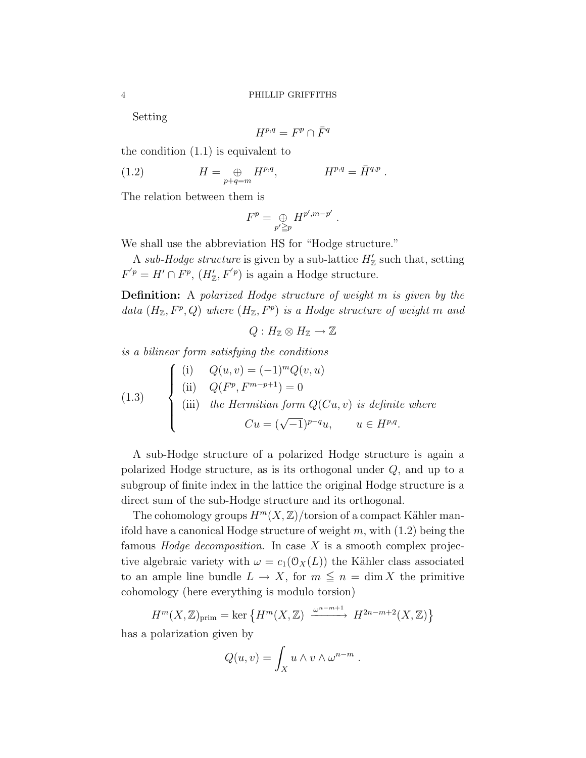Setting

$$
H^{p,q} = F^p \cap \overline{F}^q
$$

the condition (1.1) is equivalent to

(1.2) 
$$
H = \bigoplus_{p+q=m} H^{p,q}, \qquad H^{p,q} = \bar{H}^{q,p}.
$$

The relation between them is

$$
F^p = \bigoplus_{p' \geq p} H^{p',m-p'}.
$$

We shall use the abbreviation HS for "Hodge structure."

A sub-Hodge structure is given by a sub-lattice  $H'_{\mathbb{Z}}$  such that, setting  $F'{}^p = H' \cap F^p$ ,  $(H'_{\mathbb{Z}}, F'{}^p)$  is again a Hodge structure.

Definition: A polarized Hodge structure of weight m is given by the data  $(H_{\mathbb{Z}}, F^p, Q)$  where  $(H_{\mathbb{Z}}, F^p)$  is a Hodge structure of weight m and

$$
Q: H_{\mathbb{Z}} \otimes H_{\mathbb{Z}} \to \mathbb{Z}
$$

is a bilinear form satisfying the conditions

(1.3) 
$$
\begin{cases}\n(i) & Q(u, v) = (-1)^m Q(v, u) \\
(ii) & Q(F^p, F^{m-p+1}) = 0 \\
(iii) & the Hermitian form Q(Cu, v) is definite where \\
& Cu = (\sqrt{-1})^{p-q}u, \quad u \in H^{p,q}.\n\end{cases}
$$

A sub-Hodge structure of a polarized Hodge structure is again a polarized Hodge structure, as is its orthogonal under Q, and up to a subgroup of finite index in the lattice the original Hodge structure is a direct sum of the sub-Hodge structure and its orthogonal.

The cohomology groups  $H^m(X,\mathbb{Z})$ /torsion of a compact Kähler manifold have a canonical Hodge structure of weight  $m$ , with  $(1.2)$  being the famous *Hodge decomposition*. In case  $X$  is a smooth complex projective algebraic variety with  $\omega = c_1(\mathcal{O}_X(L))$  the Kähler class associated to an ample line bundle  $L \to X$ , for  $m \leq n = \dim X$  the primitive cohomology (here everything is modulo torsion)

$$
H^m(X, \mathbb{Z})_{\text{prim}} = \ker \left\{ H^m(X, \mathbb{Z}) \xrightarrow{\omega^{n-m+1}} H^{2n-m+2}(X, \mathbb{Z}) \right\}
$$

has a polarization given by

$$
Q(u, v) = \int_X u \wedge v \wedge \omega^{n-m} .
$$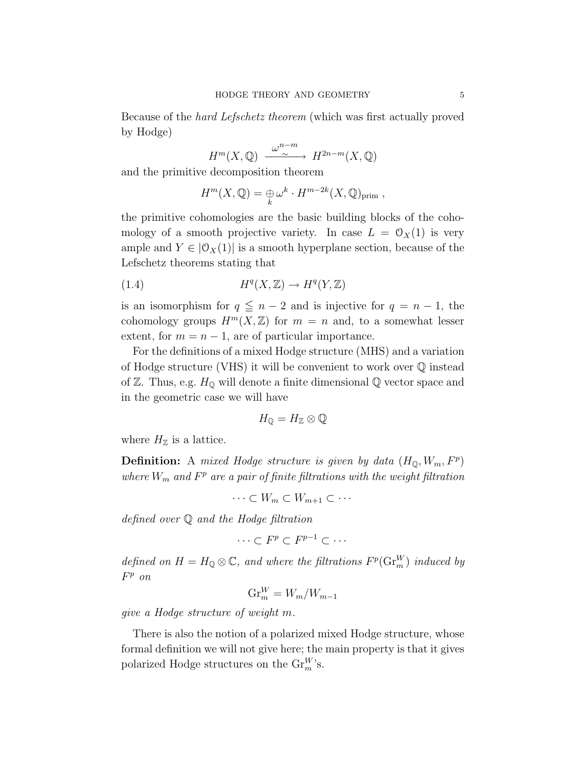Because of the hard Lefschetz theorem (which was first actually proved by Hodge)

$$
H^m(X, \mathbb{Q}) \xrightarrow{\omega^{n-m}} H^{2n-m}(X, \mathbb{Q})
$$

and the primitive decomposition theorem

$$
H^m(X, \mathbb{Q}) = \bigoplus_k \omega^k \cdot H^{m-2k}(X, \mathbb{Q})_{\text{prim}} ,
$$

the primitive cohomologies are the basic building blocks of the cohomology of a smooth projective variety. In case  $L = \mathcal{O}_X(1)$  is very ample and  $Y \in [0_X(1)]$  is a smooth hyperplane section, because of the Lefschetz theorems stating that

$$
(1.4) \tHq(X, \mathbb{Z}) \to Hq(Y, \mathbb{Z})
$$

is an isomorphism for  $q \leq n-2$  and is injective for  $q = n-1$ , the cohomology groups  $H^m(X,\mathbb{Z})$  for  $m = n$  and, to a somewhat lesser extent, for  $m = n - 1$ , are of particular importance.

For the definitions of a mixed Hodge structure (MHS) and a variation of Hodge structure (VHS) it will be convenient to work over Q instead of  $\mathbb Z$ . Thus, e.g.  $H_{\mathbb Q}$  will denote a finite dimensional  $\mathbb Q$  vector space and in the geometric case we will have

$$
H_{\mathbb{Q}}=H_{\mathbb{Z}}\otimes\mathbb{Q}
$$

where  $H_{\mathbb{Z}}$  is a lattice.

**Definition:** A mixed Hodge structure is given by data  $(H_{\mathbb{Q}}, W_m, F^p)$ where  $W_m$  and  $F^p$  are a pair of finite filtrations with the weight filtration

 $\cdots \subset W_m \subset W_{m+1} \subset \cdots$ 

defined over Q and the Hodge filtration

$$
\cdots \subset F^p \subset F^{p-1} \subset \cdots
$$

defined on  $H = H_{\mathbb{Q}} \otimes \mathbb{C}$ , and where the filtrations  $F^p(\mathrm{Gr}_m^W)$  induced by F <sup>p</sup> on

$$
\operatorname{Gr}_m^W = W_m/W_{m-1}
$$

give a Hodge structure of weight m.

There is also the notion of a polarized mixed Hodge structure, whose formal definition we will not give here; the main property is that it gives polarized Hodge structures on the  $\mathrm{Gr}_m^W$ 's.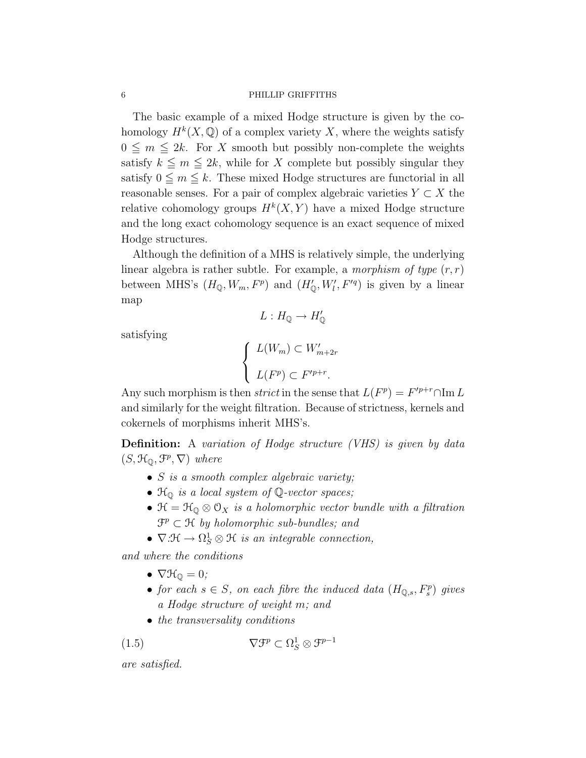The basic example of a mixed Hodge structure is given by the cohomology  $H^k(X, \mathbb{Q})$  of a complex variety X, where the weights satisfy  $0 \leq m \leq 2k$ . For X smooth but possibly non-complete the weights satisfy  $k \leq m \leq 2k$ , while for X complete but possibly singular they satisfy  $0 \leq m \leq k$ . These mixed Hodge structures are functorial in all reasonable senses. For a pair of complex algebraic varieties  $Y \subset X$  the relative cohomology groups  $H^k(X,Y)$  have a mixed Hodge structure and the long exact cohomology sequence is an exact sequence of mixed Hodge structures.

Although the definition of a MHS is relatively simple, the underlying linear algebra is rather subtle. For example, a morphism of type  $(r, r)$ between MHS's  $(H_{\mathbb{Q}}, W_m, F^p)$  and  $(H'_{\mathbb{Q}}, W'_l, F'^q)$  is given by a linear map

$$
L: H_{\mathbb{Q}} \to H'_{\mathbb{Q}}
$$

satisfying

$$
\begin{cases} L(W_m) \subset W'_{m+2r} \\ L(F^p) \subset F'^{p+r}. \end{cases}
$$

Any such morphism is then *strict* in the sense that  $L(F^p) = F'^{p+r} \cap \text{Im } L$ and similarly for the weight filtration. Because of strictness, kernels and cokernels of morphisms inherit MHS's.

Definition: A variation of Hodge structure (VHS) is given by data  $(S, \mathcal{H}_{\mathbb{Q}}, \mathcal{F}^p, \nabla)$  where

- S is a smooth complex algebraic variety;
- $\mathcal{H}_{\mathbb{Q}}$  is a local system of  $\mathbb{Q}\text{-vector spaces};$
- $\mathcal{H} = \mathcal{H}_{\mathbb{Q}} \otimes \mathcal{O}_X$  is a holomorphic vector bundle with a filtration  $\mathfrak{F}^p \subset \mathfrak{H}$  by holomorphic sub-bundles; and
- $\nabla \: : \: \mathcal{H} \to \Omega^1_S \otimes \mathcal{H}$  is an integrable connection,

and where the conditions

- $\nabla \mathcal{H}_0 = 0$ ;
- for each  $s \in S$ , on each fibre the induced data  $(H_{\mathbb{Q},s}, F_s^p)$  gives a Hodge structure of weight m; and
- the transversality conditions

$$
\nabla \mathfrak{F}^p \subset \Omega^1_S \otimes \mathfrak{F}^{p-1}
$$

are satisfied.

 $(1.5)$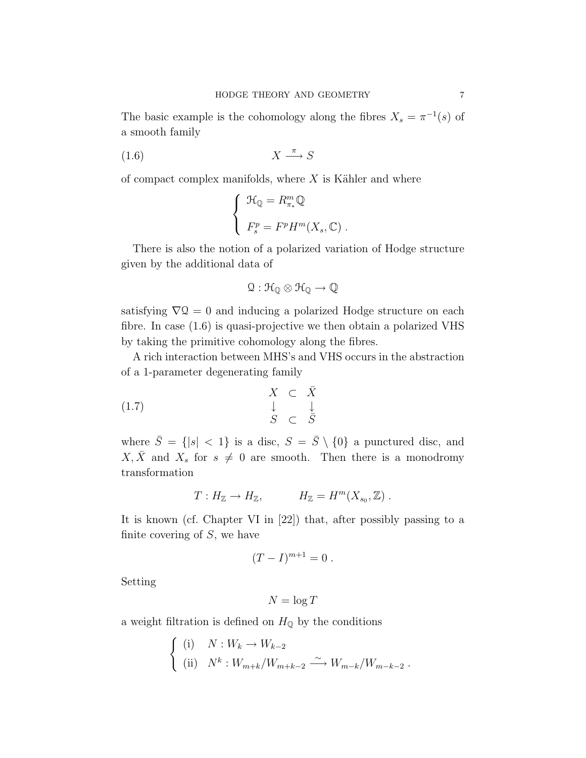The basic example is the cohomology along the fibres  $X_s = \pi^{-1}(s)$  of a smooth family

$$
(1.6) \t\t X \xrightarrow{\pi} S
$$

of compact complex manifolds, where  $X$  is Kähler and where

$$
\begin{cases}\n\mathcal{H}_{\mathbb{Q}} = R_{\pi_*}^m \mathbb{Q} \\
F_s^p = F^p H^m(X_s, \mathbb{C})\n\end{cases}
$$

There is also the notion of a polarized variation of Hodge structure given by the additional data of

$$
\Omega:\mathcal{H}_\mathbb{Q}\otimes\mathcal{H}_\mathbb{Q}\to\mathbb{Q}
$$

satisfying  $\nabla Q = 0$  and inducing a polarized Hodge structure on each fibre. In case (1.6) is quasi-projective we then obtain a polarized VHS by taking the primitive cohomology along the fibres.

A rich interaction between MHS's and VHS occurs in the abstraction of a 1-parameter degenerating family

$$
\begin{array}{rcl}\nX & \subset & \bar{X} \\
\downarrow & & \downarrow \\
S & \subset & \bar{S}\n\end{array}
$$

where  $\bar{S} = \{|s| < 1\}$  is a disc,  $S = \bar{S} \setminus \{0\}$  a punctured disc, and  $X, \overline{X}$  and  $X_s$  for  $s \neq 0$  are smooth. Then there is a monodromy transformation

$$
T: H_{\mathbb{Z}} \to H_{\mathbb{Z}}, \qquad H_{\mathbb{Z}} = H^m(X_{s_0}, \mathbb{Z}).
$$

It is known (cf. Chapter VI in [22]) that, after possibly passing to a finite covering of  $S$ , we have

$$
(T-I)^{m+1}=0.
$$

Setting

$$
N = \log T
$$

a weight filtration is defined on  $H_{\mathbb{Q}}$  by the conditions

$$
\begin{cases}\n(i) & N: W_k \to W_{k-2} \\
(ii) & N^k: W_{m+k}/W_{m+k-2} \xrightarrow{\sim} W_{m-k}/W_{m-k-2}.\n\end{cases}
$$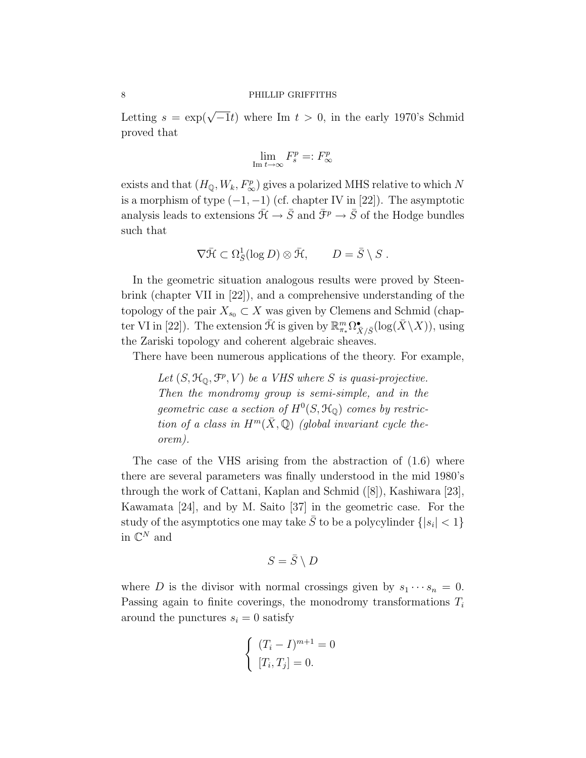Letting  $s = \exp(\sqrt{-1}t)$  where Im  $t > 0$ , in the early 1970's Schmid proved that

$$
\lim_{\text{Im }t\to\infty}F_s^p=:F_\infty^p
$$

exists and that  $(H_{\mathbb{Q}}, W_k, F_{\infty}^p)$  gives a polarized MHS relative to which N is a morphism of type  $(-1, -1)$  (cf. chapter IV in [22]). The asymptotic analysis leads to extensions  $\bar{\mathcal{H}} \to \bar{S}$  and  $\bar{\mathcal{F}}^p \to \bar{S}$  of the Hodge bundles such that

$$
\nabla \bar{\mathcal{H}} \subset \Omega_{\bar{S}}^1(\log D) \otimes \bar{\mathcal{H}}, \qquad D = \bar{S} \setminus S.
$$

In the geometric situation analogous results were proved by Steenbrink (chapter VII in [22]), and a comprehensive understanding of the topology of the pair  $X_{s_0} \subset X$  was given by Clemens and Schmid (chapter VI in [22]). The extension  $\bar{\mathcal{H}}$  is given by  $\mathbb{R}_{\pi_*}^m \Omega_{\bar{X}/\bar{S}}^{\bullet}(\log(\bar{X}\setminus X))$ , using the Zariski topology and coherent algebraic sheaves.

There have been numerous applications of the theory. For example,

Let  $(S, \mathcal{H}_{\mathbb{Q}}, \mathcal{F}^p, V)$  be a VHS where S is quasi-projective. Then the mondromy group is semi-simple, and in the geometric case a section of  $H^0(S, \mathcal{H}_Q)$  comes by restriction of a class in  $H^m(\bar{X}, \mathbb{Q})$  (global invariant cycle theorem).

The case of the VHS arising from the abstraction of (1.6) where there are several parameters was finally understood in the mid 1980's through the work of Cattani, Kaplan and Schmid ([8]), Kashiwara [23], Kawamata [24], and by M. Saito [37] in the geometric case. For the study of the asymptotics one may take  $\bar{S}$  to be a polycylinder  $\{|s_i| < 1\}$ in  $\mathbb{C}^N$  and

$$
S = \bar{S} \setminus D
$$

where D is the divisor with normal crossings given by  $s_1 \cdots s_n = 0$ . Passing again to finite coverings, the monodromy transformations  $T_i$ around the punctures  $s_i = 0$  satisfy

$$
\begin{cases} (T_i - I)^{m+1} = 0\\ [T_i, T_j] = 0. \end{cases}
$$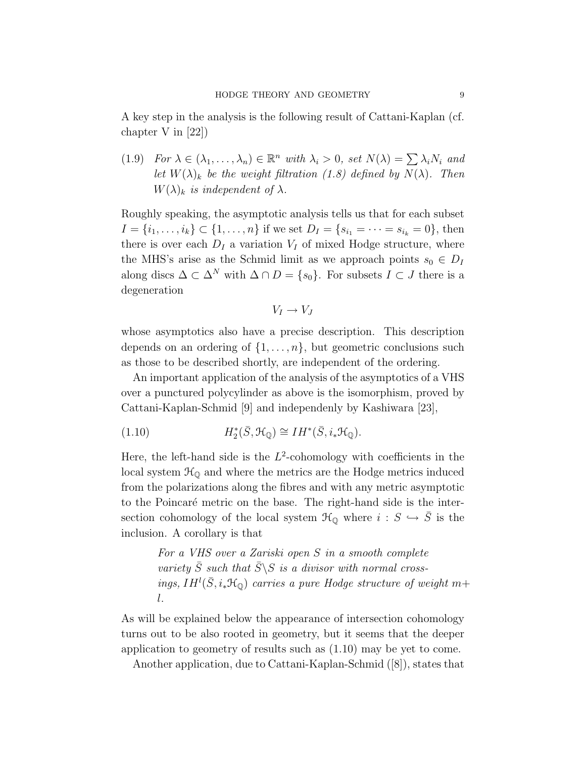A key step in the analysis is the following result of Cattani-Kaplan (cf. chapter V in [22])

(1.9) For  $\lambda \in (\lambda_1, \ldots, \lambda_n) \in \mathbb{R}^n$  with  $\lambda_i > 0$ , set  $N(\lambda) = \sum \lambda_i N_i$  and let  $W(\lambda)_k$  be the weight filtration (1.8) defined by  $N(\lambda)$ . Then  $W(\lambda)_k$  is independent of  $\lambda$ .

Roughly speaking, the asymptotic analysis tells us that for each subset  $I = \{i_1, \ldots, i_k\} \subset \{1, \ldots, n\}$  if we set  $D_I = \{s_{i_1} = \cdots = s_{i_k} = 0\}$ , then there is over each  $D_I$  a variation  $V_I$  of mixed Hodge structure, where the MHS's arise as the Schmid limit as we approach points  $s_0 \in D_I$ along discs  $\Delta \subset \Delta^N$  with  $\Delta \cap D = \{s_0\}$ . For subsets  $I \subset J$  there is a degeneration

$$
V_I \to V_J
$$

whose asymptotics also have a precise description. This description depends on an ordering of  $\{1, \ldots, n\}$ , but geometric conclusions such as those to be described shortly, are independent of the ordering.

An important application of the analysis of the asymptotics of a VHS over a punctured polycylinder as above is the isomorphism, proved by Cattani-Kaplan-Schmid [9] and independenly by Kashiwara [23],

(1.10) 
$$
H_2^*(\bar{S}, \mathcal{H}_{\mathbb{Q}}) \cong IH^*(\bar{S}, i_*\mathcal{H}_{\mathbb{Q}}).
$$

Here, the left-hand side is the  $L^2$ -cohomology with coefficients in the local system  $\mathcal{H}_{\mathbb{Q}}$  and where the metrics are the Hodge metrics induced from the polarizations along the fibres and with any metric asymptotic to the Poincaré metric on the base. The right-hand side is the intersection cohomology of the local system  $\mathcal{H}_{\mathbb{Q}}$  where  $i : S \hookrightarrow \overline{S}$  is the inclusion. A corollary is that

> For a VHS over a Zariski open S in a smooth complete variety  $\bar{S}$  such that  $\bar{S}\backslash S$  is a divisor with normal crossings,  $IH^{l}(\bar{S}, i_{*}\mathcal{H}_{Q})$  carries a pure Hodge structure of weight  $m+$ l.

As will be explained below the appearance of intersection cohomology turns out to be also rooted in geometry, but it seems that the deeper application to geometry of results such as (1.10) may be yet to come.

Another application, due to Cattani-Kaplan-Schmid ([8]), states that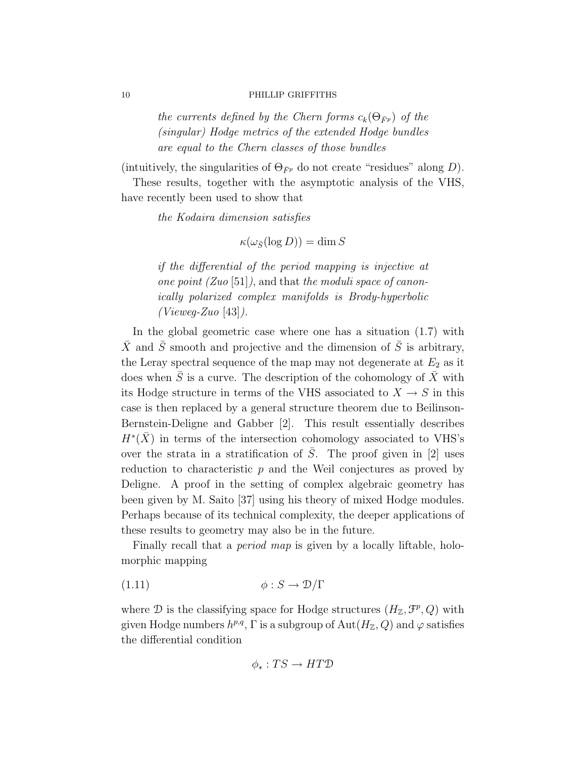the currents defined by the Chern forms  $c_k(\Theta_{\bar{F}p})$  of the (singular) Hodge metrics of the extended Hodge bundles are equal to the Chern classes of those bundles

(intuitively, the singularities of  $\Theta_{\bar{F}p}$  do not create "residues" along D).

These results, together with the asymptotic analysis of the VHS, have recently been used to show that

the Kodaira dimension satisfies

 $\kappa(\omega_{\bar{S}}(\log D)) = \dim S$ 

if the differential of the period mapping is injective at one point  $(Zuo [51])$ , and that the moduli space of canonically polarized complex manifolds is Brody-hyperbolic  $(Vieweg-Zuo [43]).$ 

In the global geometric case where one has a situation (1.7) with  $\bar{X}$  and  $\bar{S}$  smooth and projective and the dimension of  $\bar{S}$  is arbitrary, the Leray spectral sequence of the map may not degenerate at  $E_2$  as it does when  $\overline{S}$  is a curve. The description of the cohomology of  $\overline{X}$  with its Hodge structure in terms of the VHS associated to  $X \to S$  in this case is then replaced by a general structure theorem due to Beilinson-Bernstein-Deligne and Gabber [2]. This result essentially describes  $H^*(\bar{X})$  in terms of the intersection cohomology associated to VHS's over the strata in a stratification of  $\overline{S}$ . The proof given in [2] uses reduction to characteristic p and the Weil conjectures as proved by Deligne. A proof in the setting of complex algebraic geometry has been given by M. Saito [37] using his theory of mixed Hodge modules. Perhaps because of its technical complexity, the deeper applications of these results to geometry may also be in the future.

Finally recall that a *period map* is given by a locally liftable, holomorphic mapping

$$
(1.11)\qquad \qquad \phi: S \to \mathcal{D}/\Gamma
$$

where  $\mathcal D$  is the classifying space for Hodge structures  $(H_{\mathbb Z}, \mathcal{F}^p, Q)$  with given Hodge numbers  $h^{p,q}$ ,  $\Gamma$  is a subgroup of  $\text{Aut}(H_{\mathbb{Z}}, Q)$  and  $\varphi$  satisfies the differential condition

$$
\phi_*: TS \to HTD
$$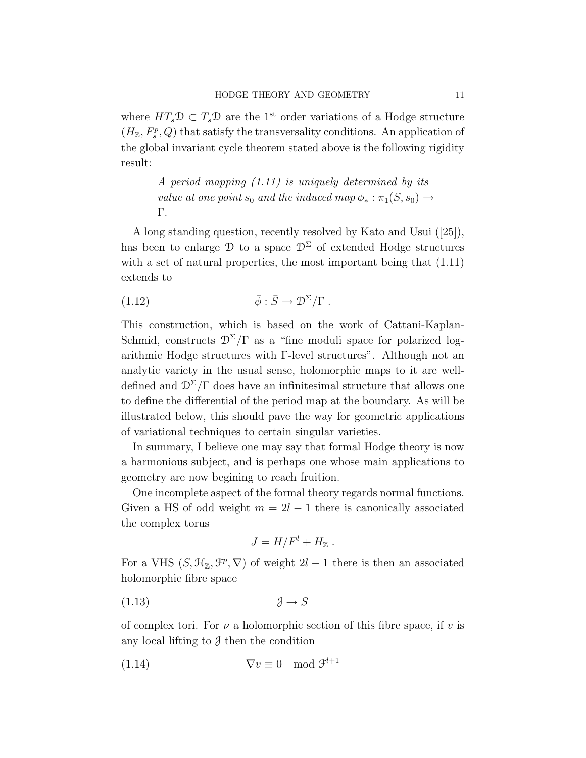where  $HT_s\mathcal{D} \subset T_s\mathcal{D}$  are the 1<sup>st</sup> order variations of a Hodge structure  $(H_{\mathbb{Z}}, F_s^p, Q)$  that satisfy the transversality conditions. An application of the global invariant cycle theorem stated above is the following rigidity result:

> A period mapping (1.11) is uniquely determined by its value at one point  $s_0$  and the induced map  $\phi_* : \pi_1(S, s_0) \rightarrow$ Γ.

A long standing question, recently resolved by Kato and Usui ([25]), has been to enlarge  $\mathcal{D}$  to a space  $\mathcal{D}^{\Sigma}$  of extended Hodge structures with a set of natural properties, the most important being that  $(1.11)$ extends to

(1.12) 
$$
\bar{\phi} : \bar{S} \to \mathcal{D}^{\Sigma}/\Gamma .
$$

This construction, which is based on the work of Cattani-Kaplan-Schmid, constructs  $\mathcal{D}^{\Sigma}/\Gamma$  as a "fine moduli space for polarized logarithmic Hodge structures with Γ-level structures". Although not an analytic variety in the usual sense, holomorphic maps to it are welldefined and  $\mathcal{D}^{\Sigma}/\Gamma$  does have an infinitesimal structure that allows one to define the differential of the period map at the boundary. As will be illustrated below, this should pave the way for geometric applications of variational techniques to certain singular varieties.

In summary, I believe one may say that formal Hodge theory is now a harmonious subject, and is perhaps one whose main applications to geometry are now begining to reach fruition.

One incomplete aspect of the formal theory regards normal functions. Given a HS of odd weight  $m = 2l - 1$  there is canonically associated the complex torus

$$
J = H/F^{l} + H_{\mathbb{Z}}.
$$

For a VHS  $(S, \mathcal{H}_{\mathbb{Z}}, \mathcal{F}^p, \nabla)$  of weight  $2l-1$  there is then an associated holomorphic fibre space

(1.13) J → S

of complex tori. For  $\nu$  a holomorphic section of this fibre space, if  $\nu$  is any local lifting to  $\beta$  then the condition

$$
(1.14) \t\nabla v \equiv 0 \mod \mathfrak{F}^{l+1}
$$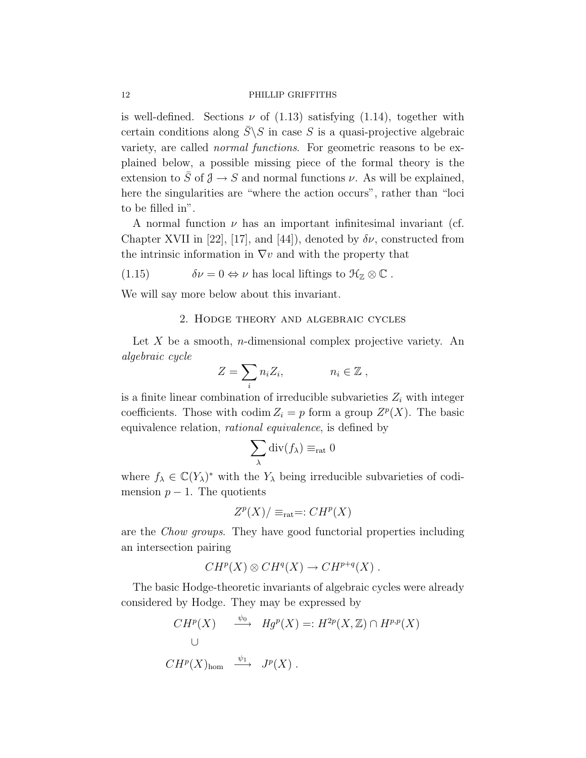is well-defined. Sections  $\nu$  of (1.13) satisfying (1.14), together with certain conditions along  $\overline{S}\backslash S$  in case S is a quasi-projective algebraic variety, are called normal functions. For geometric reasons to be explained below, a possible missing piece of the formal theory is the extension to  $\overline{S}$  of  $\overline{J} \to S$  and normal functions  $\nu$ . As will be explained, here the singularities are "where the action occurs", rather than "loci to be filled in".

A normal function  $\nu$  has an important infinitesimal invariant (cf. Chapter XVII in [22], [17], and [44]), denoted by  $\delta \nu$ , constructed from the intrinsic information in  $\nabla v$  and with the property that

(1.15) 
$$
\delta \nu = 0 \Leftrightarrow \nu \text{ has local liftings to } \mathfrak{H}_{\mathbb{Z}} \otimes \mathbb{C} .
$$

We will say more below about this invariant.

#### 2. Hodge theory and algebraic cycles

Let  $X$  be a smooth, *n*-dimensional complex projective variety. An algebraic cycle

$$
Z = \sum_i n_i Z_i, \qquad n_i \in \mathbb{Z},
$$

is a finite linear combination of irreducible subvarieties  $Z_i$  with integer coefficients. Those with codim  $Z_i = p$  form a group  $Z^p(X)$ . The basic equivalence relation, rational equivalence, is defined by

$$
\sum_{\lambda} \operatorname{div}(f_{\lambda}) \equiv_{\text{rat}} 0
$$

where  $f_{\lambda} \in \mathbb{C}(Y_{\lambda})^*$  with the  $Y_{\lambda}$  being irreducible subvarieties of codimension  $p-1$ . The quotients

$$
Z^p(X)/\equiv_{\text{rat}}=:CH^p(X)
$$

are the Chow groups. They have good functorial properties including an intersection pairing

$$
CH^p(X) \otimes CH^q(X) \to CH^{p+q}(X) .
$$

The basic Hodge-theoretic invariants of algebraic cycles were already considered by Hodge. They may be expressed by

$$
CH^{p}(X) \xrightarrow{\psi_{0}} Hg^{p}(X) =: H^{2p}(X, \mathbb{Z}) \cap H^{p,p}(X)
$$
  

$$
\cup
$$
  

$$
CH^{p}(X)_{\text{hom}} \xrightarrow{\psi_{1}} J^{p}(X) .
$$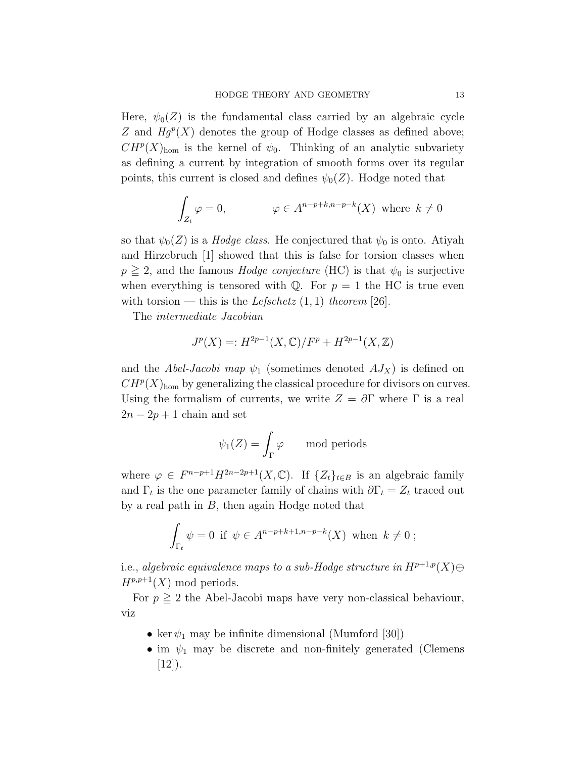Here,  $\psi_0(Z)$  is the fundamental class carried by an algebraic cycle Z and  $Hg^{p}(X)$  denotes the group of Hodge classes as defined above;  $CH^p(X)_{\text{hom}}$  is the kernel of  $\psi_0$ . Thinking of an analytic subvariety as defining a current by integration of smooth forms over its regular points, this current is closed and defines  $\psi_0(Z)$ . Hodge noted that

$$
\int_{Z_i} \varphi = 0, \qquad \varphi \in A^{n-p+k, n-p-k}(X) \text{ where } k \neq 0
$$

so that  $\psi_0(Z)$  is a *Hodge class*. He conjectured that  $\psi_0$  is onto. Atiyah and Hirzebruch [1] showed that this is false for torsion classes when  $p \geq 2$ , and the famous *Hodge conjecture* (HC) is that  $\psi_0$  is surjective when everything is tensored with  $\mathbb{Q}$ . For  $p = 1$  the HC is true even with torsion — this is the Lefschetz  $(1, 1)$  theorem [26].

The intermediate Jacobian

$$
J^{p}(X) =: H^{2p-1}(X, \mathbb{C})/F^{p} + H^{2p-1}(X, \mathbb{Z})
$$

and the Abel-Jacobi map  $\psi_1$  (sometimes denoted  $AJ_X$ ) is defined on  $CH^p(X)_{\text{hom}}$  by generalizing the classical procedure for divisors on curves. Using the formalism of currents, we write  $Z = \partial \Gamma$  where  $\Gamma$  is a real  $2n - 2p + 1$  chain and set

$$
\psi_1(Z) = \int_{\Gamma} \varphi \quad \text{mod periods}
$$

where  $\varphi \in F^{n-p+1}H^{2n-2p+1}(X,\mathbb{C})$ . If  $\{Z_t\}_{t\in B}$  is an algebraic family and  $\Gamma_t$  is the one parameter family of chains with  $\partial \Gamma_t = Z_t$  traced out by a real path in  $B$ , then again Hodge noted that

$$
\int_{\Gamma_t} \psi = 0 \text{ if } \psi \in A^{n-p+k+1,n-p-k}(X) \text{ when } k \neq 0 ;
$$

i.e., algebraic equivalence maps to a sub-Hodge structure in  $H^{p+1,p}(X)$  $\oplus$  $H^{p,p+1}(X)$  mod periods.

For  $p \geq 2$  the Abel-Jacobi maps have very non-classical behaviour, viz

- ker  $\psi_1$  may be infinite dimensional (Mumford [30])
- im  $\psi_1$  may be discrete and non-finitely generated (Clemens  $[12]$ ).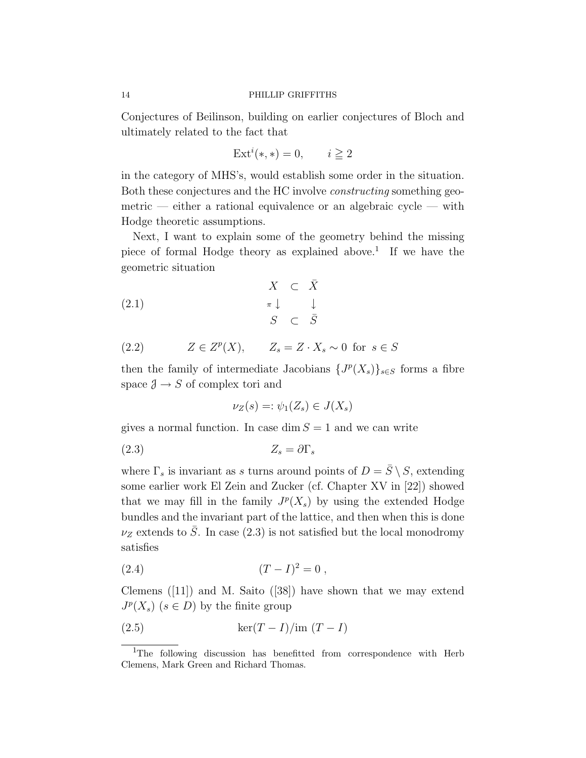Conjectures of Beilinson, building on earlier conjectures of Bloch and ultimately related to the fact that

$$
Exti(*,*) = 0, \qquad i \ge 2
$$

in the category of MHS's, would establish some order in the situation. Both these conjectures and the HC involve constructing something geometric — either a rational equivalence or an algebraic cycle — with Hodge theoretic assumptions.

Next, I want to explain some of the geometry behind the missing piece of formal Hodge theory as explained above.<sup>1</sup> If we have the geometric situation

$$
\begin{array}{rcl}\n & X & \subset & \bar{X} \\
\pi \downarrow & & \downarrow \\
S & \subset & \bar{S}\n\end{array}
$$

(2.2) 
$$
Z \in Z^p(X), \qquad Z_s = Z \cdot X_s \sim 0 \text{ for } s \in S
$$

then the family of intermediate Jacobians  $\{J^p(X_s)\}_{s\in S}$  forms a fibre space  $\mathcal{J} \to S$  of complex tori and

$$
\nu_Z(s) =: \psi_1(Z_s) \in J(X_s)
$$

gives a normal function. In case dim  $S = 1$  and we can write

$$
(2.3) \t\t Z_s = \partial \Gamma_s
$$

where  $\Gamma_s$  is invariant as s turns around points of  $D = \overline{S} \setminus S$ , extending some earlier work El Zein and Zucker (cf. Chapter XV in [22]) showed that we may fill in the family  $J^p(X_s)$  by using the extended Hodge bundles and the invariant part of the lattice, and then when this is done  $\nu_Z$  extends to  $\overline{S}$ . In case (2.3) is not satisfied but the local monodromy satisfies

$$
(2.4) \t\t (T-I)^2 = 0 ,
$$

Clemens  $([11])$  and M. Saito  $([38])$  have shown that we may extend  $J^p(X_s)$   $(s \in D)$  by the finite group

(2.5) ker(T − I)/im (T − I)

<sup>&</sup>lt;sup>1</sup>The following discussion has benefitted from correspondence with Herb Clemens, Mark Green and Richard Thomas.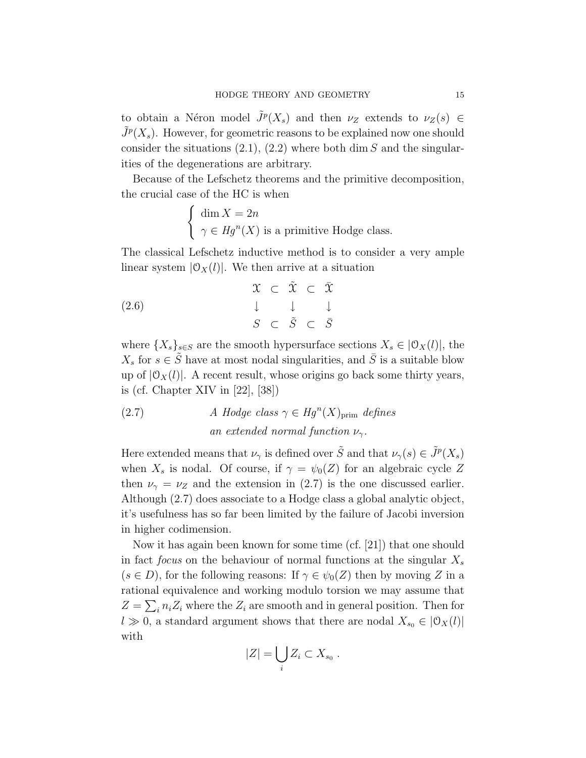to obtain a Néron model  $\tilde{J}^p(X_s)$  and then  $\nu_Z$  extends to  $\nu_Z(s) \in$  $\tilde{J}^p(X_s)$ . However, for geometric reasons to be explained now one should consider the situations  $(2.1), (2.2)$  where both dim S and the singularities of the degenerations are arbitrary.

Because of the Lefschetz theorems and the primitive decomposition, the crucial case of the HC is when

$$
\begin{cases} \dim X = 2n \\ \gamma \in Hg^{n}(X) \text{ is a primitive Hodge class.} \end{cases}
$$

The classical Lefschetz inductive method is to consider a very ample linear system  $|\mathcal{O}_X(l)|$ . We then arrive at a situation

$$
\begin{array}{rcl}\n\mathfrak{X} & \subset & \tilde{\mathfrak{X}} \\
\downarrow & \downarrow & \downarrow \\
\mathfrak{S} & \subset & \tilde{S} \\
\end{array}\n\quad\n\begin{array}{rcl}\n\mathfrak{X} & \subset & \tilde{\mathfrak{X}} \\
\downarrow & \downarrow & \downarrow \\
\mathfrak{S} & \subset & \tilde{S} \\
\end{array}
$$

where  $\{X_s\}_{s\in S}$  are the smooth hypersurface sections  $X_s \in [0_X(l)]$ , the  $X_s$  for  $s \in \tilde{S}$  have at most nodal singularities, and  $\overline{S}$  is a suitable blow up of  $|\mathcal{O}_X(l)|$ . A recent result, whose origins go back some thirty years, is (cf. Chapter XIV in [22], [38])

(2.7) *A Hodge class* 
$$
\gamma \in Hg^{n}(X)_{\text{prim}}
$$
 *defines*  
an *extended normal function*  $\nu_{\gamma}$ .

Here extended means that  $\nu_{\gamma}$  is defined over  $\tilde{S}$  and that  $\nu_{\gamma}(s) \in \tilde{J}^{p}(X_{s})$ when  $X_s$  is nodal. Of course, if  $\gamma = \psi_0(Z)$  for an algebraic cycle Z then  $\nu_{\gamma} = \nu_Z$  and the extension in (2.7) is the one discussed earlier. Although (2.7) does associate to a Hodge class a global analytic object, it's usefulness has so far been limited by the failure of Jacobi inversion in higher codimension.

Now it has again been known for some time (cf. [21]) that one should in fact focus on the behaviour of normal functions at the singular  $X_s$  $(s \in D)$ , for the following reasons: If  $\gamma \in \psi_0(Z)$  then by moving Z in a rational equivalence and working modulo torsion we may assume that  $Z = \sum_i n_i Z_i$  where the  $Z_i$  are smooth and in general position. Then for  $l \gg 0$ , a standard argument shows that there are nodal  $X_{s_0} \in |0_X(l)|$ with

$$
|Z| = \bigcup_i Z_i \subset X_{s_0} .
$$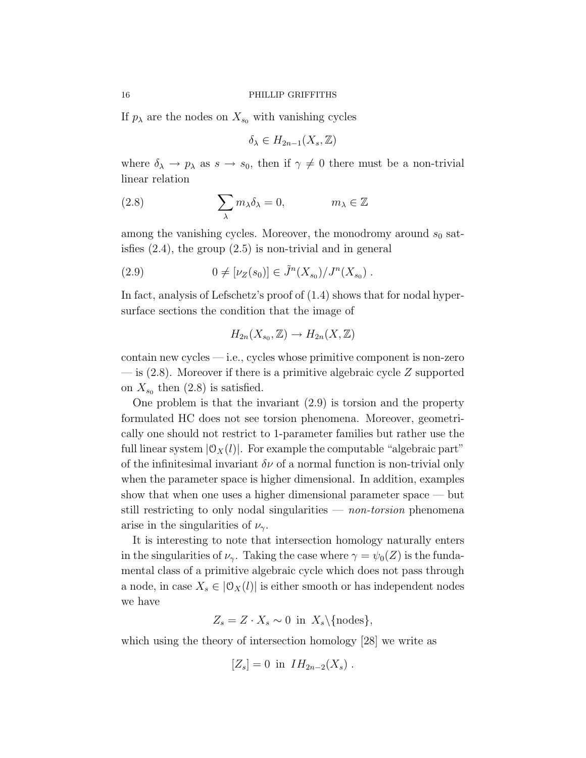If  $p_{\lambda}$  are the nodes on  $X_{s_0}$  with vanishing cycles

$$
\delta_{\lambda} \in H_{2n-1}(X_s, \mathbb{Z})
$$

where  $\delta_{\lambda} \to p_{\lambda}$  as  $s \to s_0$ , then if  $\gamma \neq 0$  there must be a non-trivial linear relation

(2.8) 
$$
\sum_{\lambda} m_{\lambda} \delta_{\lambda} = 0, \qquad m_{\lambda} \in \mathbb{Z}
$$

among the vanishing cycles. Moreover, the monodromy around  $s_0$  satisfies (2.4), the group (2.5) is non-trivial and in general

(2.9) 
$$
0 \neq [\nu_Z(s_0)] \in \tilde{J}^n(X_{s_0})/J^n(X_{s_0}) .
$$

In fact, analysis of Lefschetz's proof of (1.4) shows that for nodal hypersurface sections the condition that the image of

$$
H_{2n}(X_{s_0},\mathbb{Z}) \to H_{2n}(X,\mathbb{Z})
$$

contain new cycles — i.e., cycles whose primitive component is non-zero  $-$  is  $(2.8)$ . Moreover if there is a primitive algebraic cycle Z supported on  $X_{s_0}$  then  $(2.8)$  is satisfied.

One problem is that the invariant (2.9) is torsion and the property formulated HC does not see torsion phenomena. Moreover, geometrically one should not restrict to 1-parameter families but rather use the full linear system  $|\mathcal{O}_X(l)|$ . For example the computable "algebraic part" of the infinitesimal invariant  $\delta \nu$  of a normal function is non-trivial only when the parameter space is higher dimensional. In addition, examples show that when one uses a higher dimensional parameter space — but still restricting to only nodal singularities  $-$  non-torsion phenomena arise in the singularities of  $\nu_{\gamma}$ .

It is interesting to note that intersection homology naturally enters in the singularities of  $\nu_{\gamma}$ . Taking the case where  $\gamma = \psi_0(Z)$  is the fundamental class of a primitive algebraic cycle which does not pass through a node, in case  $X_s \in |\mathcal{O}_X(l)|$  is either smooth or has independent nodes we have

$$
Z_s = Z \cdot X_s \sim 0 \text{ in } X_s \setminus {\text{nodes}},
$$

which using the theory of intersection homology [28] we write as

$$
[Z_s] = 0
$$
 in  $IH_{2n-2}(X_s)$ .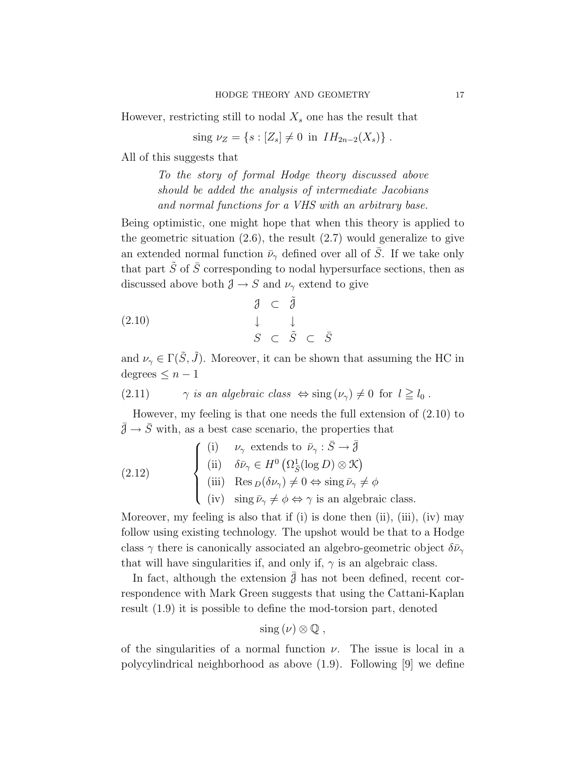However, restricting still to nodal  $X_s$  one has the result that

sing  $\nu_Z = \{s : [Z_s] \neq 0 \text{ in } IH_{2n-2}(X_s)\}\.$ 

All of this suggests that

To the story of formal Hodge theory discussed above should be added the analysis of intermediate Jacobians and normal functions for a VHS with an arbitrary base.

Being optimistic, one might hope that when this theory is applied to the geometric situation  $(2.6)$ , the result  $(2.7)$  would generalize to give an extended normal function  $\bar{\nu}_{\gamma}$  defined over all of  $\bar{S}$ . If we take only that part  $\tilde{S}$  of  $\overline{S}$  corresponding to nodal hypersurface sections, then as discussed above both  $\mathcal{J} \to S$  and  $\nu_{\gamma}$  extend to give

$$
\begin{array}{rcl}\n\mathbf{1} & \mathbf{0} & \mathbf{1} \\
\mathbf{1} & \mathbf{1} & \mathbf{1} \\
\mathbf{2} & \mathbf{1} & \mathbf{1} \\
\mathbf{3} & \mathbf{1} & \mathbf{1} \\
\mathbf{4} & \mathbf{1} & \mathbf{1} \\
\mathbf{5} & \mathbf{1} & \mathbf{1} \\
\mathbf{6} & \mathbf{1} & \mathbf{1} \\
\mathbf{5} & \mathbf{1} & \mathbf{1} \\
\mathbf{6} & \mathbf{1} & \mathbf{1} \\
\mathbf{1} & \mathbf{1} & \mathbf{1} \\
\mathbf{2} & \mathbf{1} & \mathbf{1} \\
\mathbf{3} & \mathbf{1} & \mathbf{1} \\
\mathbf{4} & \mathbf{1} & \mathbf{1} \\
\mathbf{5} & \mathbf{1} & \mathbf{1} \\
\mathbf{6} & \mathbf{1} & \mathbf{1} \\
\mathbf{5} & \mathbf{1} & \mathbf{1} \\
\mathbf{6} & \mathbf{1} & \mathbf{1} \\
\mathbf{1} & \mathbf{1} & \mathbf{1} \\
\mathbf{2} & \mathbf{1} & \mathbf{1} \\
\mathbf{3} & \mathbf{1} & \mathbf{1} \\
\mathbf{4} & \mathbf{1} & \mathbf{1} \\
\mathbf{5} & \mathbf{1} & \mathbf{1} \\
\mathbf{6} & \mathbf{1} & \mathbf{1} \\
\mathbf{5} & \mathbf{1} & \mathbf{1} \\
\mathbf{6} & \mathbf{1} & \mathbf{1} \\
\mathbf{1} & \mathbf{1} & \mathbf{1} \\
\mathbf{2} & \mathbf{1} & \mathbf{1} \\
\mathbf{3} & \mathbf{1} & \mathbf{1} \\
\mathbf{4} & \mathbf{1} & \mathbf{1} \\
\mathbf{5} & \mathbf{1} & \mathbf{1} \\
\
$$

and  $\nu_{\gamma} \in \Gamma(\tilde{S}, \tilde{J})$ . Moreover, it can be shown that assuming the HC in degrees  $\leq n-1$ 

(2.11)  $\gamma$  is an algebraic class  $\Leftrightarrow$  sing  $(\nu_{\gamma}) \neq 0$  for  $l \geq l_0$ .

However, my feeling is that one needs the full extension of (2.10) to  $\bar{\mathcal{J}}\to\bar{S}$  with, as a best case scenario, the properties that

(2.12)   
\n
$$
\begin{cases}\n(i) & \nu_{\gamma} \text{ extends to } \bar{\nu}_{\gamma} : \bar{S} \to \bar{\partial} \\
(ii) & \delta \bar{\nu}_{\gamma} \in H^{0} \left( \Omega_{\bar{S}}^{1} (\log D) \otimes \mathcal{K} \right) \\
(iii) & \text{Res}_{D}(\delta \nu_{\gamma}) \neq 0 \Leftrightarrow \text{sing } \bar{\nu}_{\gamma} \neq \phi \\
(iv) & \text{sing } \bar{\nu}_{\gamma} \neq \phi \Leftrightarrow \gamma \text{ is an algebraic class.} \n\end{cases}
$$

Moreover, my feeling is also that if (i) is done then (ii), (iii), (iv) may follow using existing technology. The upshot would be that to a Hodge class  $\gamma$  there is canonically associated an algebro-geometric object  $\delta \bar{\nu}_{\gamma}$ that will have singularities if, and only if,  $\gamma$  is an algebraic class.

In fact, although the extension  $\mathcal{J}$  has not been defined, recent correspondence with Mark Green suggests that using the Cattani-Kaplan result (1.9) it is possible to define the mod-torsion part, denoted

$$
\operatorname{sing}(\nu) \otimes \mathbb{Q} ,
$$

of the singularities of a normal function  $\nu$ . The issue is local in a polycylindrical neighborhood as above (1.9). Following [9] we define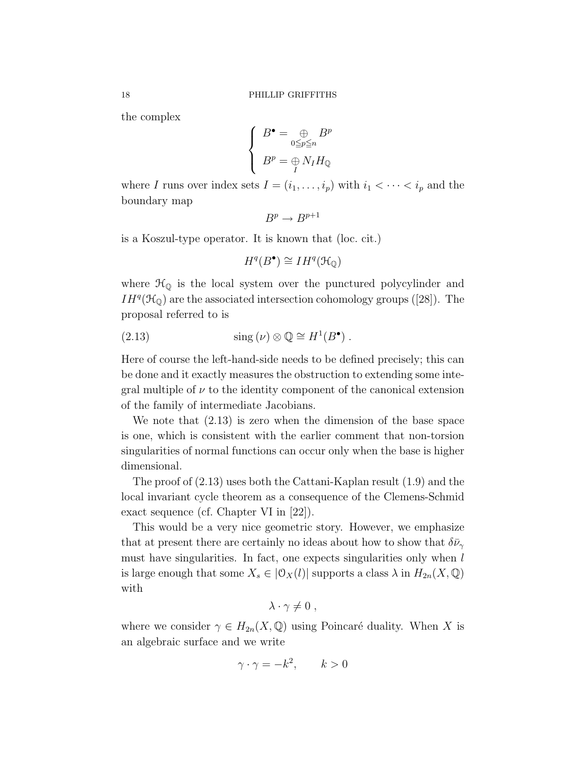the complex

$$
\begin{cases}\nB^{\bullet} = \bigoplus_{0 \leq p \leq n} B^p \\
B^p = \bigoplus_I N_I H_{\mathbb{Q}}\n\end{cases}
$$

where I runs over index sets  $I = (i_1, \ldots, i_p)$  with  $i_1 < \cdots < i_p$  and the boundary map

$$
B^p \to B^{p+1}
$$

is a Koszul-type operator. It is known that (loc. cit.)

$$
H^q(B^{\bullet}) \cong IH^q(\mathcal{H}_{\mathbb{Q}})
$$

where  $\mathcal{H}_{\mathbb{Q}}$  is the local system over the punctured polycylinder and  $IH^{q}(\mathcal{H}_{\mathbb{Q}})$  are the associated intersection cohomology groups ([28]). The proposal referred to is

(2.13) 
$$
\text{sing}(\nu) \otimes \mathbb{Q} \cong H^1(B^{\bullet}).
$$

Here of course the left-hand-side needs to be defined precisely; this can be done and it exactly measures the obstruction to extending some integral multiple of  $\nu$  to the identity component of the canonical extension of the family of intermediate Jacobians.

We note that (2.13) is zero when the dimension of the base space is one, which is consistent with the earlier comment that non-torsion singularities of normal functions can occur only when the base is higher dimensional.

The proof of (2.13) uses both the Cattani-Kaplan result (1.9) and the local invariant cycle theorem as a consequence of the Clemens-Schmid exact sequence (cf. Chapter VI in [22]).

This would be a very nice geometric story. However, we emphasize that at present there are certainly no ideas about how to show that  $\delta \bar{\nu}_{\gamma}$ must have singularities. In fact, one expects singularities only when  $l$ is large enough that some  $X_s \in |\mathcal{O}_X(l)|$  supports a class  $\lambda$  in  $H_{2n}(X,\mathbb{Q})$ with

$$
\lambda \cdot \gamma \neq 0 \; ,
$$

where we consider  $\gamma \in H_{2n}(X,\mathbb{Q})$  using Poincaré duality. When X is an algebraic surface and we write

$$
\gamma \cdot \gamma = -k^2, \qquad k > 0
$$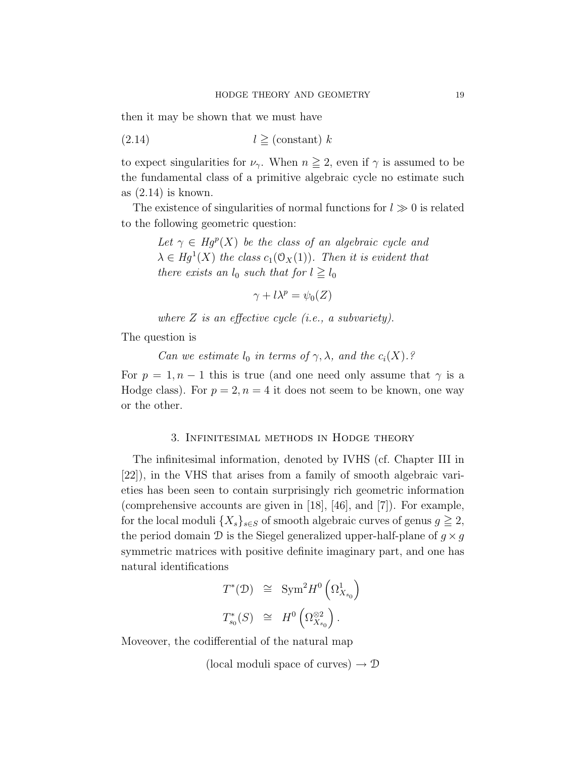then it may be shown that we must have

$$
(2.14) \t\t l \geq (constant) k
$$

to expect singularities for  $\nu_{\gamma}$ . When  $n \geq 2$ , even if  $\gamma$  is assumed to be the fundamental class of a primitive algebraic cycle no estimate such as (2.14) is known.

The existence of singularities of normal functions for  $l \gg 0$  is related to the following geometric question:

> Let  $\gamma \in Hg^p(X)$  be the class of an algebraic cycle and  $\lambda \in Hg^1(X)$  the class  $c_1(\mathcal{O}_X(1))$ . Then it is evident that there exists an  $l_0$  such that for  $l \geq l_0$

$$
\gamma + l\lambda^p = \psi_0(Z)
$$

where  $Z$  is an effective cycle (i.e., a subvariety).

The question is

Can we estimate  $l_0$  in terms of  $\gamma$ ,  $\lambda$ , and the  $c_i(X)$ .?

For  $p = 1, n - 1$  this is true (and one need only assume that  $\gamma$  is a Hodge class). For  $p = 2, n = 4$  it does not seem to be known, one way or the other.

### 3. Infinitesimal methods in Hodge theory

The infinitesimal information, denoted by IVHS (cf. Chapter III in [22]), in the VHS that arises from a family of smooth algebraic varieties has been seen to contain surprisingly rich geometric information (comprehensive accounts are given in [18], [46], and [7]). For example, for the local moduli  $\{X_s\}_{s\in S}$  of smooth algebraic curves of genus  $g\geq 2$ , the period domain  $\mathcal D$  is the Siegel generalized upper-half-plane of  $g \times g$ symmetric matrices with positive definite imaginary part, and one has natural identifications

$$
T^*(\mathcal{D}) \cong \text{Sym}^2 H^0 \left(\Omega^1_{X_{s_0}}\right)
$$
  

$$
T^*_{s_0}(S) \cong H^0 \left(\Omega^{\otimes 2}_{X_{s_0}}\right).
$$

Moveover, the codifferential of the natural map

(local moduli space of curves)  $\rightarrow \mathcal{D}$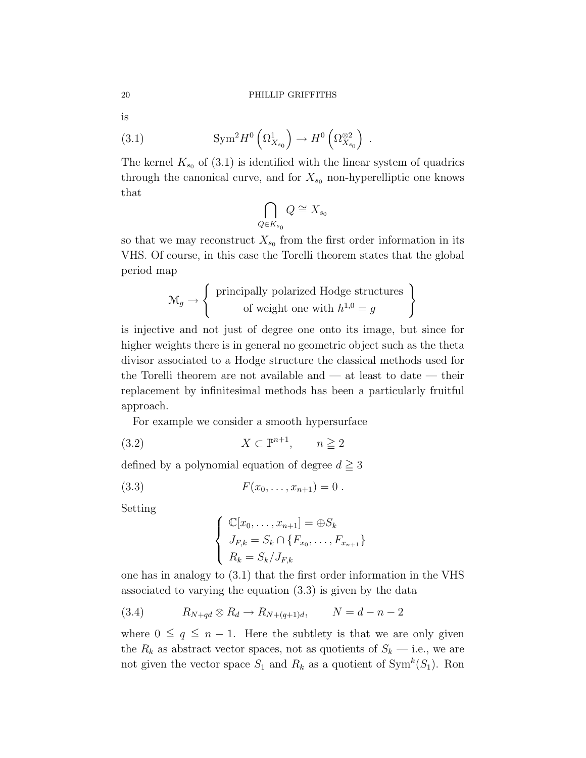is

(3.1) 
$$
\text{Sym}^2 H^0\left(\Omega^1_{X_{s_0}}\right) \to H^0\left(\Omega^{\otimes 2}_{X_{s_0}}\right) .
$$

The kernel  $K_{s_0}$  of (3.1) is identified with the linear system of quadrics through the canonical curve, and for  $X_{s_0}$  non-hyperelliptic one knows that

$$
\bigcap_{Q \in K_{s_0}} Q \cong X_{s_0}
$$

so that we may reconstruct  $X_{s_0}$  from the first order information in its VHS. Of course, in this case the Torelli theorem states that the global period map

)

$$
\mathcal{M}_g \to \left\{ \begin{array}{c} \text{principally polarized Hodge structures} \\ \text{of weight one with } h^{1,0} = g \end{array} \right.
$$

is injective and not just of degree one onto its image, but since for higher weights there is in general no geometric object such as the theta divisor associated to a Hodge structure the classical methods used for the Torelli theorem are not available and  $-$  at least to date  $-$  their replacement by infinitesimal methods has been a particularly fruitful approach.

For example we consider a smooth hypersurface

$$
(3.2) \t\t X \subset \mathbb{P}^{n+1}, \t n \ge 2
$$

defined by a polynomial equation of degree  $d \geq 3$ 

(3.3) 
$$
F(x_0, \ldots, x_{n+1}) = 0.
$$

Setting

$$
\begin{cases} \mathbb{C}[x_0,\ldots,x_{n+1}] = \bigoplus S_k\\ J_{F,k} = S_k \cap \{F_{x_0},\ldots,F_{x_{n+1}}\} \\ R_k = S_k / J_{F,k} \end{cases}
$$

one has in analogy to (3.1) that the first order information in the VHS associated to varying the equation (3.3) is given by the data

(3.4) 
$$
R_{N+qd} \otimes R_d \to R_{N+(q+1)d}, \qquad N = d-n-2
$$

where  $0 \leq q \leq n - 1$ . Here the subtlety is that we are only given the  $R_k$  as abstract vector spaces, not as quotients of  $S_k$  — i.e., we are not given the vector space  $S_1$  and  $R_k$  as a quotient of  $\text{Sym}^k(S_1)$ . Ron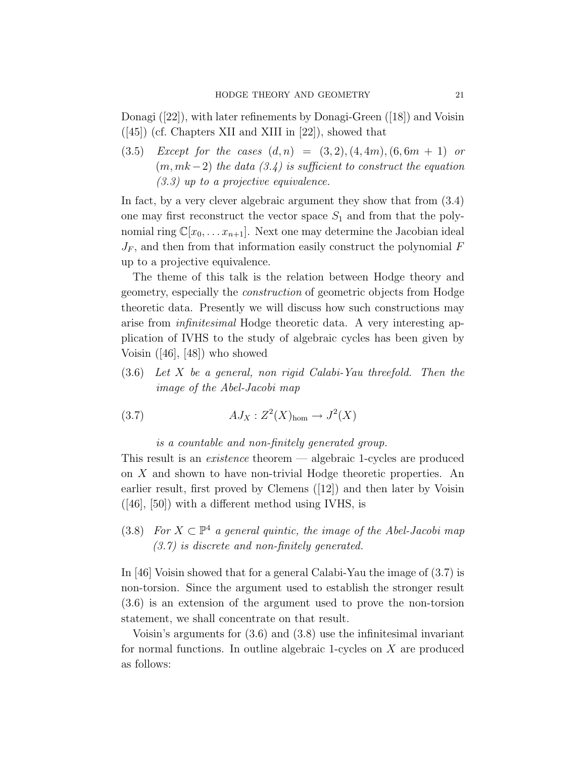Donagi ([22]), with later refinements by Donagi-Green ([18]) and Voisin  $([45])$  (cf. Chapters XII and XIII in [22]), showed that

(3.5) Except for the cases  $(d, n) = (3, 2), (4, 4m), (6, 6m + 1)$  or  $(m, mk-2)$  the data  $(3.4)$  is sufficient to construct the equation (3.3) up to a projective equivalence.

In fact, by a very clever algebraic argument they show that from (3.4) one may first reconstruct the vector space  $S_1$  and from that the polynomial ring  $\mathbb{C}[x_0, \ldots x_{n+1}]$ . Next one may determine the Jacobian ideal  $J_F$ , and then from that information easily construct the polynomial  $F$ up to a projective equivalence.

The theme of this talk is the relation between Hodge theory and geometry, especially the construction of geometric objects from Hodge theoretic data. Presently we will discuss how such constructions may arise from infinitesimal Hodge theoretic data. A very interesting application of IVHS to the study of algebraic cycles has been given by Voisin ([46], [48]) who showed

(3.6) Let X be a general, non rigid Calabi-Yau threefold. Then the image of the Abel-Jacobi map

(3.7) AJ<sup>X</sup> : Z 2 (X)hom → J 2 (X)

is a countable and non-finitely generated group.

This result is an *existence* theorem — algebraic 1-cycles are produced on X and shown to have non-trivial Hodge theoretic properties. An earlier result, first proved by Clemens ([12]) and then later by Voisin  $([46], [50])$  with a different method using IVHS, is

(3.8) For  $X \subset \mathbb{P}^4$  a general quintic, the image of the Abel-Jacobi map (3.7) is discrete and non-finitely generated.

In [46] Voisin showed that for a general Calabi-Yau the image of (3.7) is non-torsion. Since the argument used to establish the stronger result (3.6) is an extension of the argument used to prove the non-torsion statement, we shall concentrate on that result.

Voisin's arguments for (3.6) and (3.8) use the infinitesimal invariant for normal functions. In outline algebraic 1-cycles on X are produced as follows: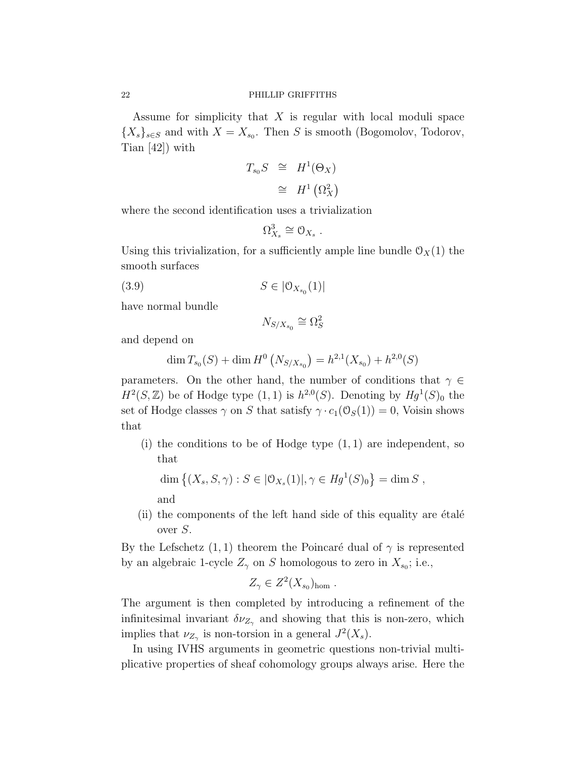Assume for simplicity that  $X$  is regular with local moduli space  ${X_s}_{s \in S}$  and with  $X = X_{s_0}$ . Then S is smooth (Bogomolov, Todorov, Tian [42]) with

$$
T_{s_0}S \cong H^1(\Theta_X)
$$
  

$$
\cong H^1(\Omega_X^2)
$$

where the second identification uses a trivialization

$$
\Omega^3_{X_s} \cong \mathcal{O}_{X_s} .
$$

Using this trivialization, for a sufficiently ample line bundle  $\mathcal{O}_X(1)$  the smooth surfaces

(3.9)  $S \in |0_{X_{s_0}}(1)|$ 

have normal bundle

$$
N_{S/X_{s_0}} \cong \Omega_S^2
$$

and depend on

$$
\dim T_{s_0}(S) + \dim H^0\left(N_{S/X_{s_0}}\right) = h^{2,1}(X_{s_0}) + h^{2,0}(S)
$$

parameters. On the other hand, the number of conditions that  $\gamma \in$  $H^2(S, \mathbb{Z})$  be of Hodge type  $(1, 1)$  is  $h^{2,0}(S)$ . Denoting by  $Hg^1(S)_0$  the set of Hodge classes  $\gamma$  on S that satisfy  $\gamma \cdot c_1(\mathcal{O}_S(1)) = 0$ , Voisin shows that

(i) the conditions to be of Hodge type  $(1, 1)$  are independent, so that

dim  $\{(X_s, S, \gamma) : S \in |0_{X_s}(1)|, \gamma \in Hg^1(S)_0\} = \dim S$ ,

and

 $(i)$  the components of the left hand side of this equality are  $\acute{e}$ tale<sup> $\acute{e}$ </sup> over S.

By the Lefschetz  $(1, 1)$  theorem the Poincaré dual of  $\gamma$  is represented by an algebraic 1-cycle  $Z_{\gamma}$  on S homologous to zero in  $X_{s_0}$ ; i.e.,

$$
Z_{\gamma} \in Z^2(X_{s_0})_{\text{hom}}.
$$

The argument is then completed by introducing a refinement of the infinitesimal invariant  $\delta \nu_{Z_{\gamma}}$  and showing that this is non-zero, which implies that  $\nu_{Z_\gamma}$  is non-torsion in a general  $J^2(X_s)$ .

In using IVHS arguments in geometric questions non-trivial multiplicative properties of sheaf cohomology groups always arise. Here the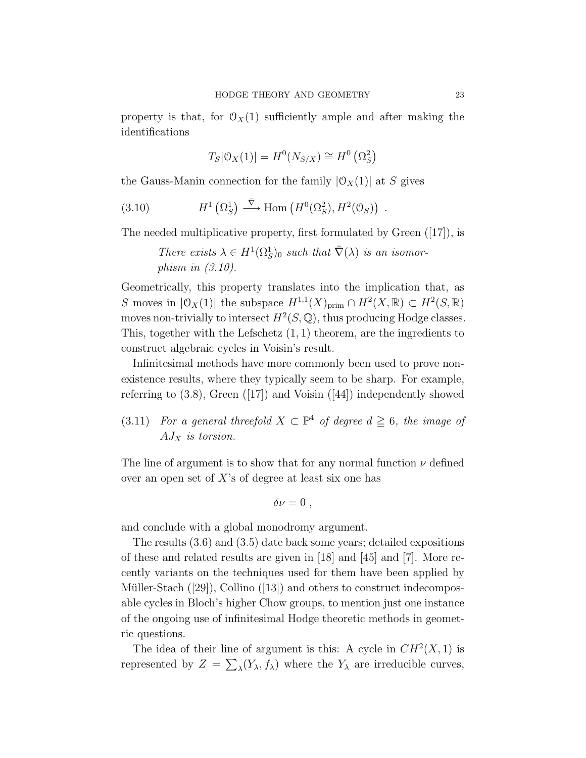property is that, for  $\mathcal{O}_X(1)$  sufficiently ample and after making the identifications

$$
T_S|\mathcal{O}_X(1)| = H^0(N_{S/X}) \cong H^0(\Omega_S^2)
$$

the Gauss-Manin connection for the family  $|O_X(1)|$  at S gives

(3.10) 
$$
H^1\left(\Omega_S^1\right) \stackrel{\bar{\nabla}}{\longrightarrow} \text{Hom}\left(H^0(\Omega_S^2), H^2(\mathcal{O}_S)\right) .
$$

The needed multiplicative property, first formulated by Green ([17]), is

There exists  $\lambda \in H^1(\Omega_S^1)_0$  such that  $\overline{\nabla}(\lambda)$  is an isomorphism in (3.10).

Geometrically, this property translates into the implication that, as S moves in  $|\mathfrak{O}_X(1)|$  the subspace  $H^{1,1}(X)_{\text{prim}} \cap H^2(X,\mathbb{R}) \subset H^2(S,\mathbb{R})$ moves non-trivially to intersect  $H^2(S, \mathbb{Q})$ , thus producing Hodge classes. This, together with the Lefschetz  $(1, 1)$  theorem, are the ingredients to construct algebraic cycles in Voisin's result.

Infinitesimal methods have more commonly been used to prove nonexistence results, where they typically seem to be sharp. For example, referring to  $(3.8)$ , Green  $(17)$  and Voisin  $(44)$  independently showed

(3.11) For a general threefold  $X \subset \mathbb{P}^4$  of degree  $d \geq 6$ , the image of  $AJ_X$  is torsion.

The line of argument is to show that for any normal function  $\nu$  defined over an open set of  $X$ 's of degree at least six one has

$$
\delta \nu = 0 \; ,
$$

and conclude with a global monodromy argument.

The results (3.6) and (3.5) date back some years; detailed expositions of these and related results are given in [18] and [45] and [7]. More recently variants on the techniques used for them have been applied by Müller-Stach  $(29)$ , Collino  $(13)$  and others to construct indecomposable cycles in Bloch's higher Chow groups, to mention just one instance of the ongoing use of infinitesimal Hodge theoretic methods in geometric questions.

The idea of their line of argument is this: A cycle in  $CH<sup>2</sup>(X, 1)$  is represented by  $Z = \sum_{\lambda} (Y_{\lambda}, f_{\lambda})$  where the  $Y_{\lambda}$  are irreducible curves,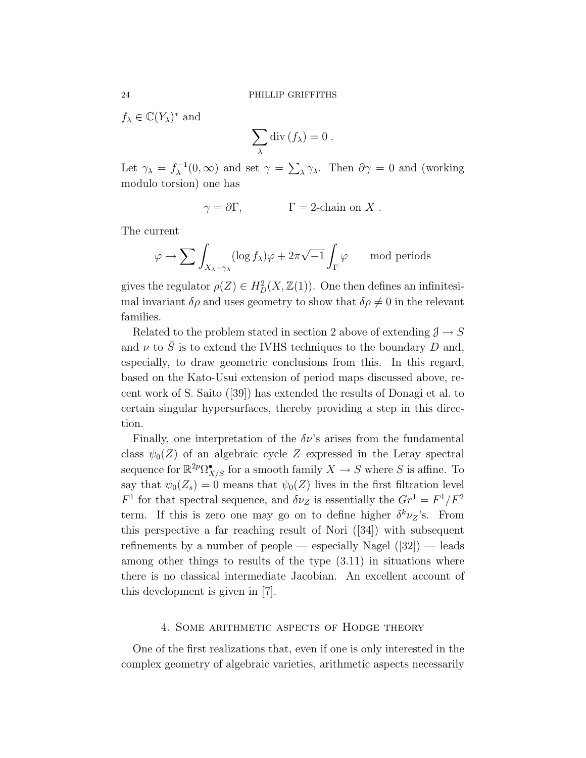$f_{\lambda} \in \mathbb{C}(Y_{\lambda})^*$  and

$$
\sum_{\lambda} \operatorname{div} (f_{\lambda}) = 0.
$$

Let  $\gamma_{\lambda} = f_{\lambda}^{-1}$  $\chi^{-1}(0,\infty)$  and set  $\gamma = \sum_{\lambda} \gamma_{\lambda}$ . Then  $\partial \gamma = 0$  and (working modulo torsion) one has

$$
\gamma = \partial \Gamma, \qquad \Gamma = 2\text{-chain on } X \ .
$$

The current

$$
\varphi \to \sum \int_{X_{\lambda} - \gamma_{\lambda}} (\log f_{\lambda}) \varphi + 2\pi \sqrt{-1} \int_{\Gamma} \varphi \quad \mod{\rm periods}
$$

gives the regulator  $\rho(Z) \in H_D^2(X, \mathbb{Z}(1))$ . One then defines an infinitesimal invariant  $\delta \rho$  and uses geometry to show that  $\delta \rho \neq 0$  in the relevant families.

Related to the problem stated in section 2 above of extending  $\mathcal{J} \to S$ and  $\nu$  to  $\overline{S}$  is to extend the IVHS techniques to the boundary D and, especially, to draw geometric conclusions from this. In this regard, based on the Kato-Usui extension of period maps discussed above, recent work of S. Saito ([39]) has extended the results of Donagi et al. to certain singular hypersurfaces, thereby providing a step in this direction.

Finally, one interpretation of the  $\delta \nu$ 's arises from the fundamental class  $\psi_0(Z)$  of an algebraic cycle Z expressed in the Leray spectral sequence for  $\mathbb{R}^{2p}\Omega_{X/S}^{\bullet}$  for a smooth family  $X \to S$  where S is affine. To say that  $\psi_0(Z_s) = 0$  means that  $\psi_0(Z)$  lives in the first filtration level  $F<sup>1</sup>$  for that spectral sequence, and  $\delta \nu_Z$  is essentially the  $Gr<sup>1</sup> = F<sup>1</sup>/F<sup>2</sup>$ term. If this is zero one may go on to define higher  $\delta^k \nu_z$ 's. From this perspective a far reaching result of Nori ([34]) with subsequent refinements by a number of people — especially Nagel  $(32)$  — leads among other things to results of the type (3.11) in situations where there is no classical intermediate Jacobian. An excellent account of this development is given in [7].

#### 4. Some arithmetic aspects of Hodge theory

One of the first realizations that, even if one is only interested in the complex geometry of algebraic varieties, arithmetic aspects necessarily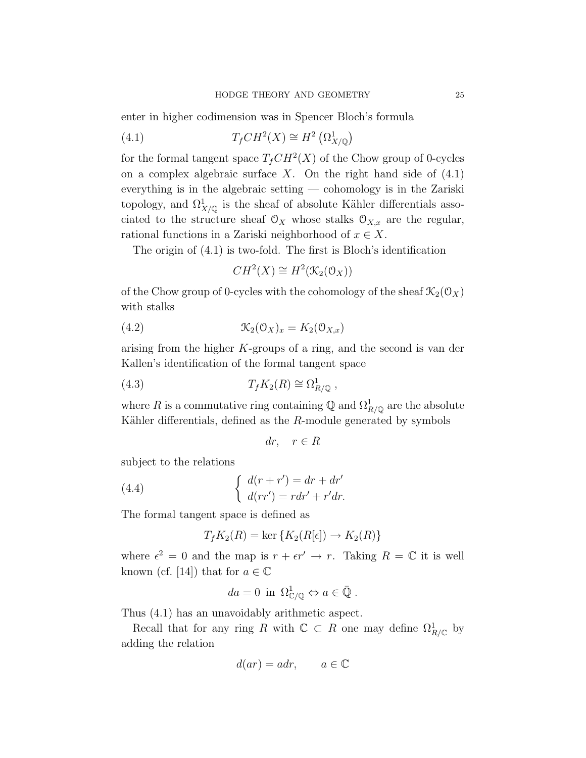enter in higher codimension was in Spencer Bloch's formula

(4.1) 
$$
T_fCH^2(X) \cong H^2\left(\Omega^1_{X/\mathbb{Q}}\right)
$$

for the formal tangent space  $T_fCH^2(X)$  of the Chow group of 0-cycles on a complex algebraic surface  $X$ . On the right hand side of  $(4.1)$ everything is in the algebraic setting — cohomology is in the Zariski topology, and  $\Omega^1_{X/\mathbb{Q}}$  is the sheaf of absolute Kähler differentials associated to the structure sheaf  $\mathcal{O}_X$  whose stalks  $\mathcal{O}_{X,x}$  are the regular, rational functions in a Zariski neighborhood of  $x \in X$ .

The origin of (4.1) is two-fold. The first is Bloch's identification

$$
CH^2(X) \cong H^2(\mathcal{K}_2(\mathcal{O}_X))
$$

of the Chow group of 0-cycles with the cohomology of the sheaf  $\mathcal{K}_2(\mathcal{O}_X)$ with stalks

(4.2) 
$$
\mathcal{K}_2(\mathcal{O}_X)_x = K_2(\mathcal{O}_{X,x})
$$

arising from the higher K-groups of a ring, and the second is van der Kallen's identification of the formal tangent space

(4.3) 
$$
T_f K_2(R) \cong \Omega^1_{R/\mathbb{Q}} ,
$$

where R is a commutative ring containing  $\mathbb{Q}$  and  $\Omega^1_{R/\mathbb{Q}}$  are the absolute Kähler differentials, defined as the  $R$ -module generated by symbols

$$
dr, \quad r \in R
$$

subject to the relations

(4.4) 
$$
\begin{cases} d(r+r') = dr + dr' \\ d(rr') = rdr' + r'dr. \end{cases}
$$

The formal tangent space is defined as

$$
T_f K_2(R) = \ker \{ K_2(R[\epsilon]) \to K_2(R) \}
$$

where  $\epsilon^2 = 0$  and the map is  $r + \epsilon r' \rightarrow r$ . Taking  $R = \mathbb{C}$  it is well known (cf. [14]) that for  $a \in \mathbb{C}$ 

$$
da = 0 \text{ in } \Omega^1_{\mathbb{C}/\mathbb{Q}} \Leftrightarrow a \in \bar{\mathbb{Q}}.
$$

Thus (4.1) has an unavoidably arithmetic aspect.

Recall that for any ring R with  $\mathbb{C} \subset R$  one may define  $\Omega^1_{R/\mathbb{C}}$  by adding the relation

$$
d(ar) = adr, \qquad a \in \mathbb{C}
$$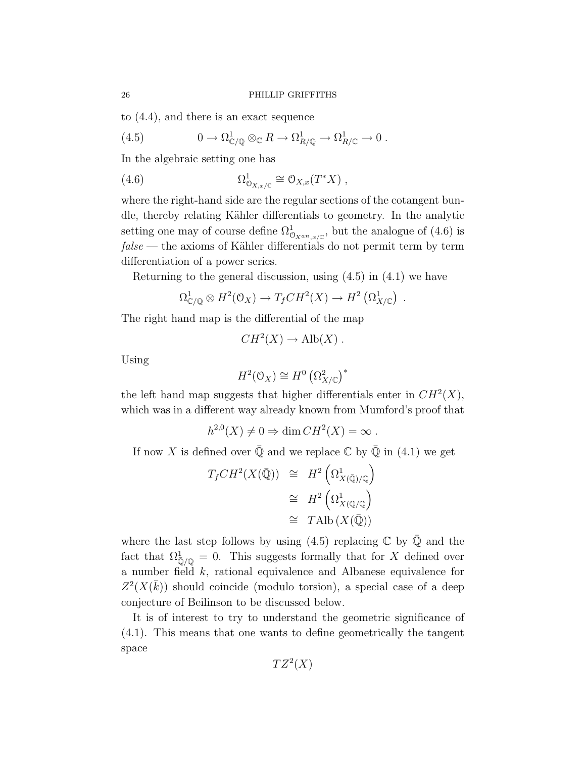to (4.4), and there is an exact sequence

(4.5) 
$$
0 \to \Omega^1_{\mathbb{C}/\mathbb{Q}} \otimes_{\mathbb{C}} R \to \Omega^1_{R/\mathbb{Q}} \to \Omega^1_{R/\mathbb{C}} \to 0.
$$

In the algebraic setting one has

(4.6) 
$$
\Omega^1_{\mathcal{O}_{X,x/\mathbb{C}}} \cong \mathcal{O}_{X,x}(T^*X) ,
$$

where the right-hand side are the regular sections of the cotangent bundle, thereby relating Kähler differentials to geometry. In the analytic setting one may of course define  $\Omega^1_{\mathcal{O}_{X^{an},x/\mathbb{C}}},$  but the analogue of (4.6) is  $false$  — the axioms of Kähler differentials do not permit term by term differentiation of a power series.

Returning to the general discussion, using (4.5) in (4.1) we have

$$
\Omega^1_{\mathbb{C}/\mathbb{Q}} \otimes H^2(\mathbb{O}_X) \to T_fCH^2(X) \to H^2\left(\Omega^1_{X/\mathbb{C}}\right) .
$$

The right hand map is the differential of the map

$$
CH^2(X) \to Alb(X) .
$$

Using

$$
H^2(\mathcal{O}_X) \cong H^0\left(\Omega^2_{X/\mathbb{C}}\right)^*
$$

the left hand map suggests that higher differentials enter in  $CH<sup>2</sup>(X)$ , which was in a different way already known from Mumford's proof that

$$
h^{2,0}(X) \neq 0 \Rightarrow \dim CH^2(X) = \infty.
$$

If now X is defined over  $\overline{Q}$  and we replace  $\mathbb C$  by  $\overline{Q}$  in (4.1) we get

$$
T_f CH^2(X(\bar{\mathbb{Q}})) \cong H^2\left(\Omega^1_{X(\bar{\mathbb{Q}})/\mathbb{Q}}\right)
$$
  

$$
\cong H^2\left(\Omega^1_{X(\bar{\mathbb{Q}}/\bar{\mathbb{Q}})}\right)
$$
  

$$
\cong \text{TAlb}\left(X(\bar{\mathbb{Q}})\right)
$$

where the last step follows by using  $(4.5)$  replacing  $\mathbb C$  by  $\mathbb Q$  and the fact that  $\Omega_{\overline{Q}/\mathbb{Q}}^1 = 0$ . This suggests formally that for X defined over a number field k, rational equivalence and Albanese equivalence for  $Z^2(X(\bar{k}))$  should coincide (modulo torsion), a special case of a deep conjecture of Beilinson to be discussed below.

It is of interest to try to understand the geometric significance of (4.1). This means that one wants to define geometrically the tangent space

 $TZ^2(X)$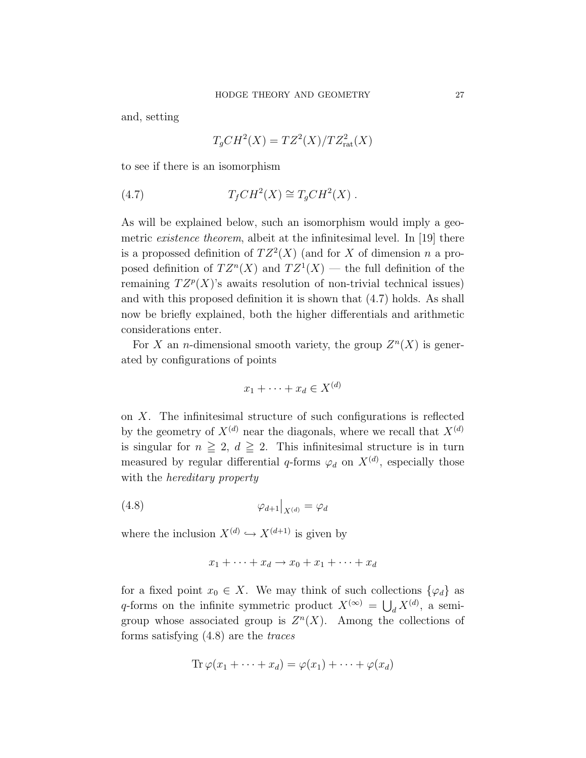and, setting

$$
T_gCH^2(X) = TZ^2(X)/TZ^2_{\text{rat}}(X)
$$

to see if there is an isomorphism

(4.7) 
$$
T_fCH^2(X) \cong T_gCH^2(X) .
$$

As will be explained below, such an isomorphism would imply a geometric *existence theorem*, albeit at the infinitesimal level. In [19] there is a propossed definition of  $TZ^2(X)$  (and for X of dimension n a proposed definition of  $TZ^{n}(X)$  and  $TZ^{1}(X)$  — the full definition of the remaining  $TZ^p(X)$ 's awaits resolution of non-trivial technical issues) and with this proposed definition it is shown that (4.7) holds. As shall now be briefly explained, both the higher differentials and arithmetic considerations enter.

For X an *n*-dimensional smooth variety, the group  $Z<sup>n</sup>(X)$  is generated by configurations of points

$$
x_1 + \dots + x_d \in X^{(d)}
$$

on  $X$ . The infinitesimal structure of such configurations is reflected by the geometry of  $X^{(d)}$  near the diagonals, where we recall that  $X^{(d)}$ is singular for  $n \geq 2$ ,  $d \geq 2$ . This infinitesimal structure is in turn measured by regular differential q-forms  $\varphi_d$  on  $X^{(d)}$ , especially those with the *hereditary* property

$$
\varphi_{d+1}|_{X^{(d)}} = \varphi_d
$$

where the inclusion  $X^{(d)} \hookrightarrow X^{(d+1)}$  is given by

$$
x_1 + \dots + x_d \to x_0 + x_1 + \dots + x_d
$$

for a fixed point  $x_0 \in X$ . We may think of such collections  $\{\varphi_d\}$  as q-forms on the infinite symmetric product  $X^{(\infty)} = \bigcup_d X^{(d)}$ , a semigroup whose associated group is  $Z<sup>n</sup>(X)$ . Among the collections of forms satisfying (4.8) are the traces

$$
\operatorname{Tr}\varphi(x_1+\cdots+x_d)=\varphi(x_1)+\cdots+\varphi(x_d)
$$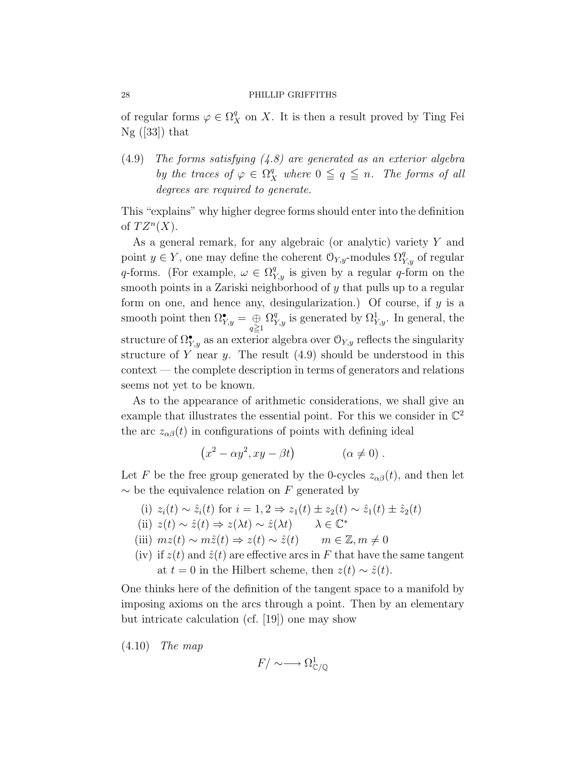of regular forms  $\varphi \in \Omega^q_X$  on X. It is then a result proved by Ting Fei  $Ng (33)$  that

 $(4.9)$  The forms satisfying  $(4.8)$  are generated as an exterior algebra by the traces of  $\varphi \in \Omega^q_X$  where  $0 \leqq q \leqq n$ . The forms of all degrees are required to generate.

This "explains" why higher degree forms should enter into the definition of  $TZ^n(X)$ .

As a general remark, for any algebraic (or analytic) variety Y and point  $y \in Y$ , one may define the coherent  $\mathcal{O}_{Y,y}$ -modules  $\Omega_{Y,y}^q$  of regular q-forms. (For example,  $\omega \in \Omega^q_{Y,y}$  is given by a regular q-form on the smooth points in a Zariski neighborhood of y that pulls up to a regular form on one, and hence any, desingularization.) Of course, if  $y$  is a smooth point then  $\Omega^{\bullet}_{Y,y} = \bigoplus_{q \geq 1}$  $\Omega_{Y,y}^q$  is generated by  $\Omega_{Y,y}^1$ . In general, the structure of  $\Omega^{\bullet}_{Y,y}$  as an exterior algebra over  $\mathcal{O}_{Y,y}$  reflects the singularity structure of Y near y. The result  $(4.9)$  should be understood in this context — the complete description in terms of generators and relations seems not yet to be known.

As to the appearance of arithmetic considerations, we shall give an example that illustrates the essential point. For this we consider in  $\mathbb{C}^2$ the arc  $z_{\alpha\beta}(t)$  in configurations of points with defining ideal

$$
(x2 - \alpha y2, xy - \beta t) \qquad (\alpha \neq 0).
$$

Let F be the free group generated by the 0-cycles  $z_{\alpha\beta}(t)$ , and then let  $\sim$  be the equivalence relation on F generated by

(i)  $z_i(t) \sim \hat{z}_i(t)$  for  $i = 1, 2 \Rightarrow z_1(t) \pm z_2(t) \sim \hat{z}_1(t) \pm \hat{z}_2(t)$ 

(ii)  $z(t) \sim \hat{z}(t) \Rightarrow z(\lambda t) \sim \hat{z}(\lambda t) \qquad \lambda \in \mathbb{C}^*$ 

- (iii)  $mz(t) \sim m\hat{z}(t) \Rightarrow z(t) \sim \hat{z}(t) \qquad m \in \mathbb{Z}, m \neq 0$
- (iv) if  $z(t)$  and  $\hat{z}(t)$  are effective arcs in F that have the same tangent at  $t = 0$  in the Hilbert scheme, then  $z(t) \sim \hat{z}(t)$ .

One thinks here of the definition of the tangent space to a manifold by imposing axioms on the arcs through a point. Then by an elementary but intricate calculation (cf. [19]) one may show

 $(4.10)$  The map

$$
F/\sim\longrightarrow\Omega^1_{\mathbb{C}/\mathbb{Q}}
$$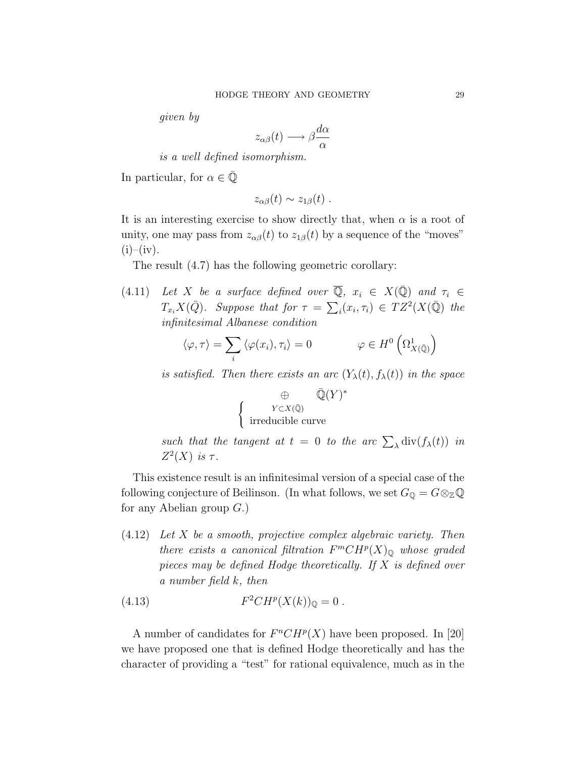given by

$$
z_{\alpha\beta}(t) \longrightarrow \beta \frac{d\alpha}{\alpha}
$$

is a well defined isomorphism.

In particular, for  $\alpha \in \mathbb{Q}$ 

$$
z_{\alpha\beta}(t) \sim z_{1\beta}(t) \ .
$$

It is an interesting exercise to show directly that, when  $\alpha$  is a root of unity, one may pass from  $z_{\alpha\beta}(t)$  to  $z_{1\beta}(t)$  by a sequence of the "moves"  $(i)$ – $(iv)$ .

The result (4.7) has the following geometric corollary:

(4.11) Let X be a surface defined over  $\overline{Q}$ ,  $x_i \in X(\overline{Q})$  and  $\tau_i \in$  $T_{x_i}X(\bar{Q})$ . Suppose that for  $\tau = \sum_i (x_i, \tau_i) \in TZ^2(X(\bar{Q})$  the infinitesimal Albanese condition

$$
\langle \varphi, \tau \rangle = \sum_{i} \langle \varphi(x_i), \tau_i \rangle = 0 \qquad \qquad \varphi \in H^0 \left( \Omega^1_{X(\bar{\mathbb{Q}})} \right)
$$

is satisfied. Then there exists an arc  $(Y_{\lambda}(t), f_{\lambda}(t))$  in the space

$$
\bigoplus_{Y \subset X(\bar{\mathbb{Q}})} \bar{\mathbb{Q}}(Y)^*
$$
  
irreducible curve

such that the tangent at  $t = 0$  to the arc  $\sum_{\lambda} \text{div}(f_{\lambda}(t))$  in  $Z^2(X)$  is  $\tau$ .

This existence result is an infinitesimal version of a special case of the following conjecture of Beilinson. (In what follows, we set  $G_{\mathbb{Q}} = G \otimes_{\mathbb{Z}} \mathbb{Q}$ for any Abelian group  $G$ .)

(4.12) Let X be a smooth, projective complex algebraic variety. Then there exists a canonical filtration  $F^mCH^p(X)_{\mathbb{Q}}$  whose graded pieces may be defined Hodge theoretically. If  $X$  is defined over a number field k, then

(4.13) 
$$
F^2CH^p(X(k))_{\mathbb{Q}} = 0.
$$

A number of candidates for  $F^nCH^p(X)$  have been proposed. In [20] we have proposed one that is defined Hodge theoretically and has the character of providing a "test" for rational equivalence, much as in the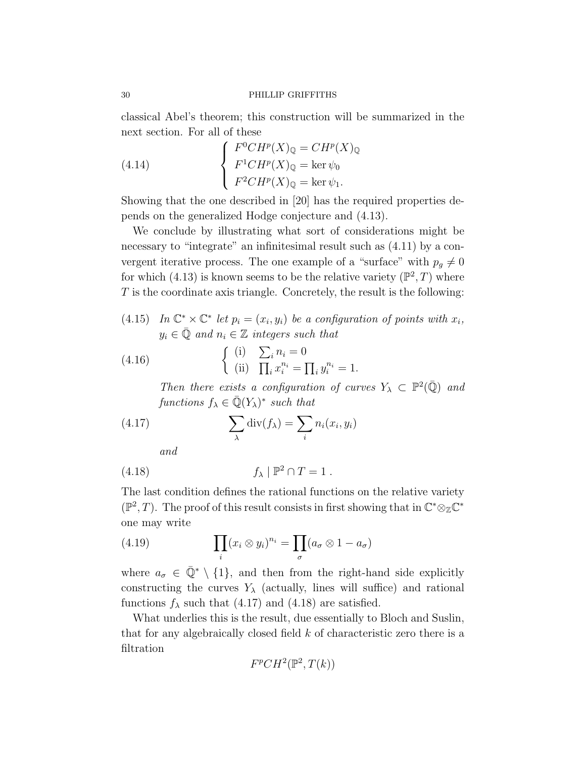classical Abel's theorem; this construction will be summarized in the next section. For all of these

(4.14) 
$$
\begin{cases} F^{0}CH^{p}(X)_{\mathbb{Q}} = CH^{p}(X)_{\mathbb{Q}} \\ F^{1}CH^{p}(X)_{\mathbb{Q}} = \ker \psi_{0} \\ F^{2}CH^{p}(X)_{\mathbb{Q}} = \ker \psi_{1} .\end{cases}
$$

Showing that the one described in [20] has the required properties depends on the generalized Hodge conjecture and (4.13).

We conclude by illustrating what sort of considerations might be necessary to "integrate" an infinitesimal result such as  $(4.11)$  by a convergent iterative process. The one example of a "surface" with  $p_g \neq 0$ for which (4.13) is known seems to be the relative variety  $(\mathbb{P}^2, T)$  where  $T$  is the coordinate axis triangle. Concretely, the result is the following:

(4.15) In  $\mathbb{C}^* \times \mathbb{C}^*$  let  $p_i = (x_i, y_i)$  be a configuration of points with  $x_i$ ,  $y_i \in \overline{Q}$  and  $n_i \in \mathbb{Z}$  integers such that

(4.16) 
$$
\begin{cases} (i) & \sum_{i} n_{i} = 0 \\ (ii) & \prod_{i} x_{i}^{n_{i}} = \prod_{i} y_{i}^{n_{i}} = 1. \end{cases}
$$

Then there exists a configuration of curves  $Y_{\lambda} \subset \mathbb{P}^2(\overline{\mathbb{Q}})$  and functions  $f_{\lambda} \in \overline{\mathbb{Q}}(Y_{\lambda})^*$  such that

(4.17) 
$$
\sum_{\lambda} \operatorname{div}(f_{\lambda}) = \sum_{i} n_{i}(x_{i}, y_{i})
$$

and

$$
(4.18) \t\t f_{\lambda} \mid \mathbb{P}^2 \cap T = 1.
$$

The last condition defines the rational functions on the relative variety  $(\mathbb{P}^2, T)$ . The proof of this result consists in first showing that in  $\mathbb{C}^* \otimes_{\mathbb{Z}} \mathbb{C}^*$ one may write

(4.19) 
$$
\prod_i (x_i \otimes y_i)^{n_i} = \prod_{\sigma} (a_{\sigma} \otimes 1 - a_{\sigma})
$$

where  $a_{\sigma} \in \overline{\mathbb{Q}}^* \setminus \{1\}$ , and then from the right-hand side explicitly constructing the curves  $Y_{\lambda}$  (actually, lines will suffice) and rational functions  $f_{\lambda}$  such that (4.17) and (4.18) are satisfied.

What underlies this is the result, due essentially to Bloch and Suslin, that for any algebraically closed field k of characteristic zero there is a filtration

$$
F^pCH^2(\mathbb{P}^2, T(k))
$$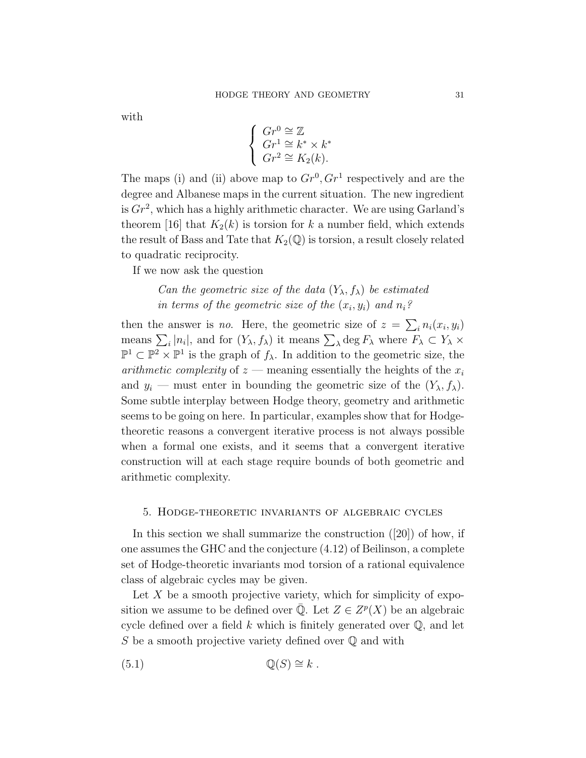with

$$
\begin{cases} Gr^0 \cong \mathbb{Z} \\ Gr^1 \cong k^* \times k^* \\ Gr^2 \cong K_2(k). \end{cases}
$$

The maps (i) and (ii) above map to  $Gr^0, Gr^1$  respectively and are the degree and Albanese maps in the current situation. The new ingredient is  $Gr^2$ , which has a highly arithmetic character. We are using Garland's theorem [16] that  $K_2(k)$  is torsion for k a number field, which extends the result of Bass and Tate that  $K_2(\mathbb{Q})$  is torsion, a result closely related to quadratic reciprocity.

If we now ask the question

# Can the geometric size of the data  $(Y_{\lambda}, f_{\lambda})$  be estimated in terms of the geometric size of the  $(x_i, y_i)$  and  $n_i$ ?

then the answer is *no*. Here, the geometric size of  $z = \sum_i n_i(x_i, y_i)$ means  $\sum_i |n_i|$ , and for  $(Y_\lambda, f_\lambda)$  it means  $\sum_\lambda \deg F_\lambda$  where  $F_\lambda \subset Y_\lambda \times$  $\mathbb{P}^1 \subset \mathbb{P}^2 \times \mathbb{P}^1$  is the graph of  $f_{\lambda}$ . In addition to the geometric size, the arithmetic complexity of  $z$  — meaning essentially the heights of the  $x_i$ and  $y_i$  — must enter in bounding the geometric size of the  $(Y_\lambda, f_\lambda)$ . Some subtle interplay between Hodge theory, geometry and arithmetic seems to be going on here. In particular, examples show that for Hodgetheoretic reasons a convergent iterative process is not always possible when a formal one exists, and it seems that a convergent iterative construction will at each stage require bounds of both geometric and arithmetic complexity.

#### 5. Hodge-theoretic invariants of algebraic cycles

In this section we shall summarize the construction ([20]) of how, if one assumes the GHC and the conjecture (4.12) of Beilinson, a complete set of Hodge-theoretic invariants mod torsion of a rational equivalence class of algebraic cycles may be given.

Let  $X$  be a smooth projective variety, which for simplicity of exposition we assume to be defined over  $\overline{Q}$ . Let  $Z \in Z^p(X)$  be an algebraic cycle defined over a field  $k$  which is finitely generated over  $\mathbb{Q}$ , and let S be a smooth projective variety defined over  $\mathbb Q$  and with

(5.1) Q(S) ∼= k .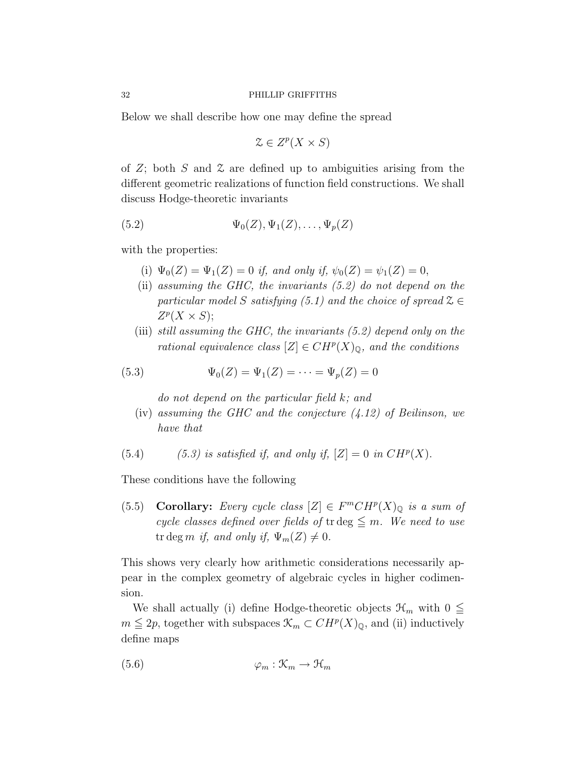Below we shall describe how one may define the spread

$$
\mathcal{Z} \in Z^p(X \times S)
$$

of  $Z$ ; both  $S$  and  $\mathcal Z$  are defined up to ambiguities arising from the different geometric realizations of function field constructions. We shall discuss Hodge-theoretic invariants

$$
(5.2) \qquad \Psi_0(Z), \Psi_1(Z), \dots, \Psi_p(Z)
$$

with the properties:

- (i)  $\Psi_0(Z) = \Psi_1(Z) = 0$  if, and only if,  $\psi_0(Z) = \psi_1(Z) = 0$ ,
- (ii) assuming the GHC, the invariants (5.2) do not depend on the particular model S satisfying (5.1) and the choice of spread  $\mathcal{Z} \in$  $Z^p(X \times S);$
- (iii) still assuming the GHC, the invariants (5.2) depend only on the rational equivalence class  $[Z] \in CH^p(X)_{\mathbb{Q}}$ , and the conditions

(5.3) 
$$
\Psi_0(Z) = \Psi_1(Z) = \cdots = \Psi_p(Z) = 0
$$

do not depend on the particular field k; and

- (iv) assuming the GHC and the conjecture  $(4.12)$  of Beilinson, we have that
- (5.4) (5.3) is satisfied if, and only if,  $|Z| = 0$  in  $CH^p(X)$ .

These conditions have the following

(5.5) Corollary: Every cycle class  $[Z] \in F^mCH^p(X)_{\mathbb{Q}}$  is a sum of cycle classes defined over fields of tr deg  $\leq m$ . We need to use tr deg m if, and only if,  $\Psi_m(Z) \neq 0$ .

This shows very clearly how arithmetic considerations necessarily appear in the complex geometry of algebraic cycles in higher codimension.

We shall actually (i) define Hodge-theoretic objects  $\mathcal{H}_m$  with  $0 \leq$  $m \leq 2p$ , together with subspaces  $\mathcal{K}_m \subset CH^p(X)_{\mathbb{Q}}$ , and (ii) inductively define maps

$$
(5.6) \qquad \qquad \varphi_m: \mathcal{K}_m \to \mathcal{H}_m
$$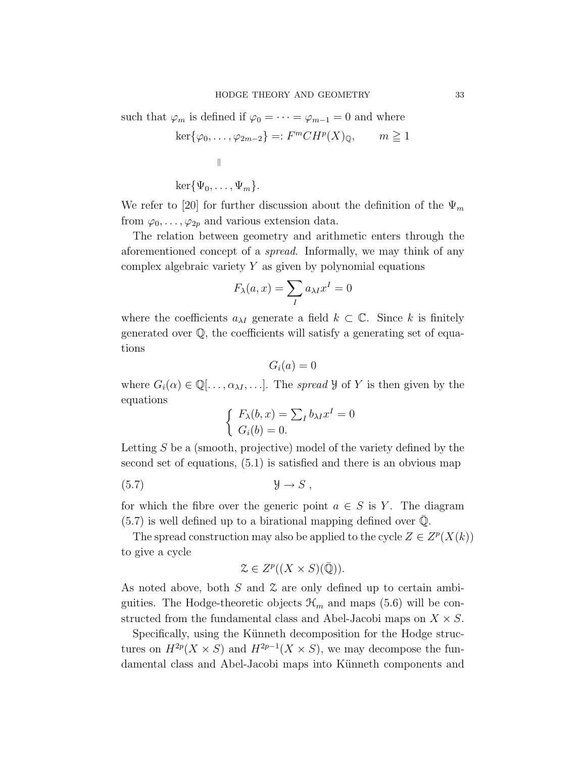such that  $\varphi_m$  is defined if  $\varphi_0 = \cdots = \varphi_{m-1} = 0$  and where

$$
\ker\{\varphi_0, \dots, \varphi_{2m-2}\} =: F^mCH^p(X)_{\mathbb{Q}}, \qquad m \ge 1
$$
  

$$
\parallel
$$
  

$$
\ker\{\Psi_0, \dots, \Psi_m\}.
$$

We refer to [20] for further discussion about the definition of the  $\Psi_m$ from  $\varphi_0, \ldots, \varphi_{2p}$  and various extension data.

The relation between geometry and arithmetic enters through the aforementioned concept of a spread. Informally, we may think of any complex algebraic variety  $Y$  as given by polynomial equations

$$
F_{\lambda}(a,x)=\sum_{I}a_{\lambda I}x^{I}=0
$$

where the coefficients  $a_{\lambda I}$  generate a field  $k \subset \mathbb{C}$ . Since k is finitely generated over Q, the coefficients will satisfy a generating set of equations

$$
G_i(a)=0
$$

where  $G_i(\alpha) \in \mathbb{Q}[\ldots, \alpha_{\lambda I}, \ldots]$ . The spread  $\mathcal{Y}$  of Y is then given by the equations

$$
\begin{cases} F_{\lambda}(b, x) = \sum_{I} b_{\lambda I} x^{I} = 0\\ G_{i}(b) = 0. \end{cases}
$$

Letting S be a (smooth, projective) model of the variety defined by the second set of equations, (5.1) is satisfied and there is an obvious map

(5.7) Y → S ,

for which the fibre over the generic point  $a \in S$  is Y. The diagram  $(5.7)$  is well defined up to a birational mapping defined over  $\mathbb{Q}$ .

The spread construction may also be applied to the cycle  $Z \in Z^p(X(k))$ to give a cycle

$$
\mathcal{Z} \in Z^p((X \times S)(\bar{\mathbb{Q}})).
$$

As noted above, both S and Z are only defined up to certain ambiguities. The Hodge-theoretic objects  $\mathcal{H}_m$  and maps (5.6) will be constructed from the fundamental class and Abel-Jacobi maps on  $X \times S$ .

Specifically, using the Künneth decomposition for the Hodge structures on  $H^{2p}(X \times S)$  and  $H^{2p-1}(X \times S)$ , we may decompose the fundamental class and Abel-Jacobi maps into Künneth components and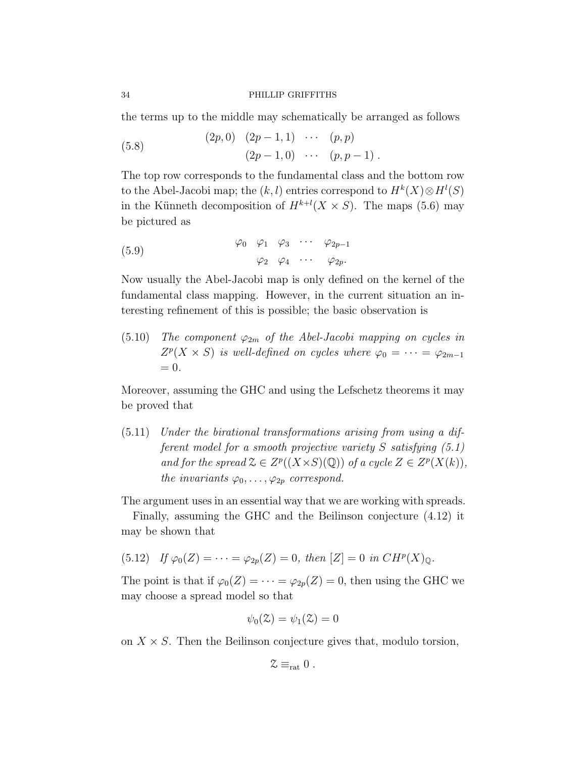the terms up to the middle may schematically be arranged as follows

(5.8)  $(2p, 0)$   $(2p - 1, 1)$  · · ·  $(p, p)$  $(2p-1, 0) \cdots (p, p-1)$ .

The top row corresponds to the fundamental class and the bottom row to the Abel-Jacobi map; the  $(k, l)$  entries correspond to  $H^k(X) \otimes H^l(S)$ in the Künneth decomposition of  $H^{k+l}(X \times S)$ . The maps (5.6) may be pictured as

(5.9) 
$$
\begin{array}{ccccccccc}\n\varphi_0 & \varphi_1 & \varphi_3 & \cdots & \varphi_{2p-1} \\
\varphi_2 & \varphi_4 & \cdots & \varphi_{2p}.\n\end{array}
$$

Now usually the Abel-Jacobi map is only defined on the kernel of the fundamental class mapping. However, in the current situation an interesting refinement of this is possible; the basic observation is

(5.10) The component  $\varphi_{2m}$  of the Abel-Jacobi mapping on cycles in  $Z^p(X \times S)$  is well-defined on cycles where  $\varphi_0 = \cdots = \varphi_{2m-1}$  $= 0.$ 

Moreover, assuming the GHC and using the Lefschetz theorems it may be proved that

(5.11) Under the birational transformations arising from using a different model for a smooth projective variety S satisfying (5.1) and for the spread  $\mathcal{Z} \in Z^p((X \times S)(\mathbb{Q}))$  of a cycle  $Z \in Z^p(X(k)),$ the invariants  $\varphi_0, \ldots, \varphi_{2p}$  correspond.

The argument uses in an essential way that we are working with spreads.

Finally, assuming the GHC and the Beilinson conjecture (4.12) it may be shown that

(5.12) If 
$$
\varphi_0(Z) = \cdots = \varphi_{2p}(Z) = 0
$$
, then  $[Z] = 0$  in  $CH^p(X)_{\mathbb{Q}}$ .

The point is that if  $\varphi_0(Z) = \cdots = \varphi_{2p}(Z) = 0$ , then using the GHC we may choose a spread model so that

$$
\psi_0(\mathfrak{Z})=\psi_1(\mathfrak{Z})=0
$$

on  $X \times S$ . Then the Beilinson conjecture gives that, modulo torsion,

$$
\mathcal{Z} \equiv_{\mathrm{rat}} 0 \ .
$$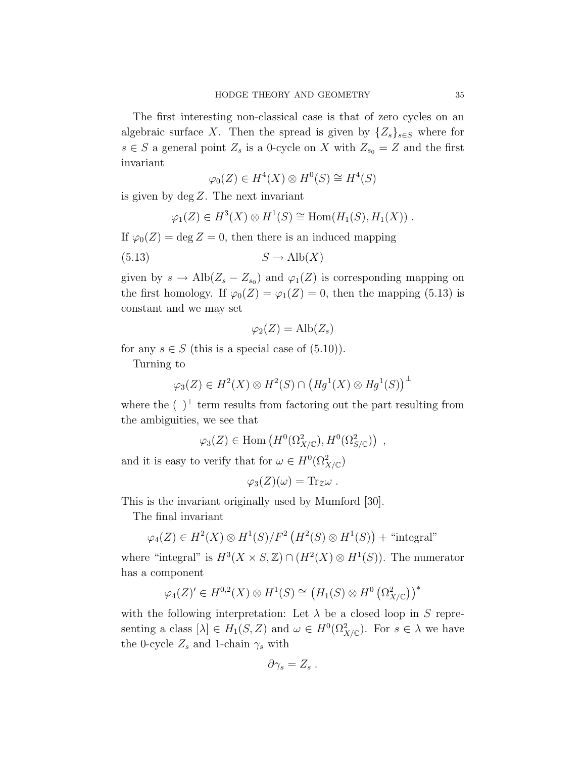The first interesting non-classical case is that of zero cycles on an algebraic surface X. Then the spread is given by  $\{Z_s\}_{s\in S}$  where for  $s \in S$  a general point  $Z_s$  is a 0-cycle on X with  $Z_{s_0} = Z$  and the first invariant

$$
\varphi_0(Z) \in H^4(X) \otimes H^0(S) \cong H^4(S)
$$

is given by  $\deg Z$ . The next invariant

$$
\varphi_1(Z) \in H^3(X) \otimes H^1(S) \cong \text{Hom}(H_1(S), H_1(X)) \ .
$$

If  $\varphi_0(Z) = \deg Z = 0$ , then there is an induced mapping

$$
(5.13)\t\t S \to Alb(X)
$$

given by  $s \to \text{Alb}(Z_s - Z_{s_0})$  and  $\varphi_1(Z)$  is corresponding mapping on the first homology. If  $\varphi_0(Z) = \varphi_1(Z) = 0$ , then the mapping (5.13) is constant and we may set

$$
\varphi_2(Z) = \text{Alb}(Z_s)
$$

for any  $s \in S$  (this is a special case of  $(5.10)$ ).

Turning to

$$
\varphi_3(Z) \in H^2(X) \otimes H^2(S) \cap \left(Hg^1(X) \otimes Hg^1(S)\right)^{\perp}
$$

where the ( ) $^\perp$  term results from factoring out the part resulting from the ambiguities, we see that

$$
\varphi_3(Z) \in \text{Hom}\left(H^0(\Omega^2_{X/\mathbb{C}}), H^0(\Omega^2_{S/\mathbb{C}})\right) ,
$$

and it is easy to verify that for  $\omega \in H^0(\Omega^2_{X/\mathbb{C}})$ 

$$
\varphi_3(Z)(\omega) = \text{Tr}_{\mathcal{Z}}\omega.
$$

This is the invariant originally used by Mumford [30].

The final invariant

$$
\varphi_4(Z) \in H^2(X) \otimes H^1(S)/F^2(H^2(S) \otimes H^1(S)) + \text{ "integral"}
$$

where "integral" is  $H^3(X \times S, \mathbb{Z}) \cap (H^2(X) \otimes H^1(S))$ . The numerator has a component

$$
\varphi_4(Z)' \in H^{0,2}(X) \otimes H^1(S) \cong \left(H_1(S) \otimes H^0\left(\Omega^2_{X/\mathbb{C}}\right)\right)^*
$$

with the following interpretation: Let  $\lambda$  be a closed loop in S representing a class  $[\lambda] \in H_1(S, Z)$  and  $\omega \in H^0(\Omega^2_{X/\mathbb{C}})$ . For  $s \in \lambda$  we have the 0-cycle  $Z_s$  and 1-chain  $\gamma_s$  with

$$
\partial \gamma_s = Z_s \ .
$$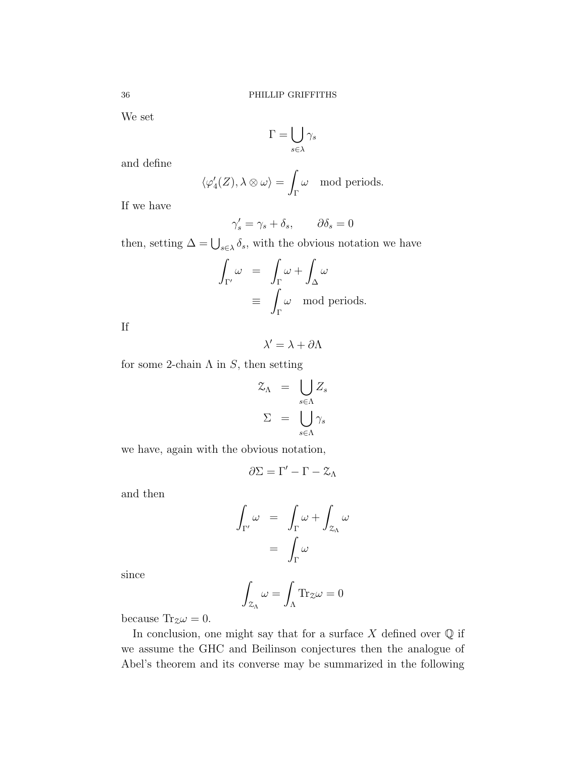We set

$$
\Gamma = \bigcup_{s \in \lambda} \gamma_s
$$

and define

$$
\langle \varphi'_4(Z), \lambda \otimes \omega \rangle = \int_{\Gamma} \omega \mod \text{periods}.
$$

If we have

$$
\gamma_s' = \gamma_s + \delta_s, \qquad \partial \delta_s = 0
$$

then, setting  $\Delta = \bigcup_{s \in \lambda} \delta_s$ , with the obvious notation we have

$$
\int_{\Gamma'} \omega = \int_{\Gamma} \omega + \int_{\Delta} \omega
$$
  

$$
\equiv \int_{\Gamma} \omega \mod \text{periods.}
$$

If

 $\lambda' = \lambda + \partial \Lambda$ 

for some 2-chain  $\Lambda$  in  $S$ , then setting

$$
\mathcal{Z}_{\Lambda} = \bigcup_{s \in \Lambda} Z_s
$$

$$
\Sigma = \bigcup_{s \in \Lambda} \gamma_s
$$

we have, again with the obvious notation,

$$
\partial\Sigma=\Gamma'-\Gamma-\mathcal{Z}_\Lambda
$$

and then

$$
\int_{\Gamma'} \omega = \int_{\Gamma} \omega + \int_{\mathcal{Z}_{\Lambda}} \omega
$$

$$
= \int_{\Gamma} \omega
$$

since

$$
\int_{\mathcal{Z}_{\Lambda}} \omega = \int_{\Lambda} \text{Tr}_{\mathcal{Z}} \omega = 0
$$

because  $\text{Tr}_{z}\omega = 0$ .

In conclusion, one might say that for a surface  $X$  defined over  $\mathbb Q$  if we assume the GHC and Beilinson conjectures then the analogue of Abel's theorem and its converse may be summarized in the following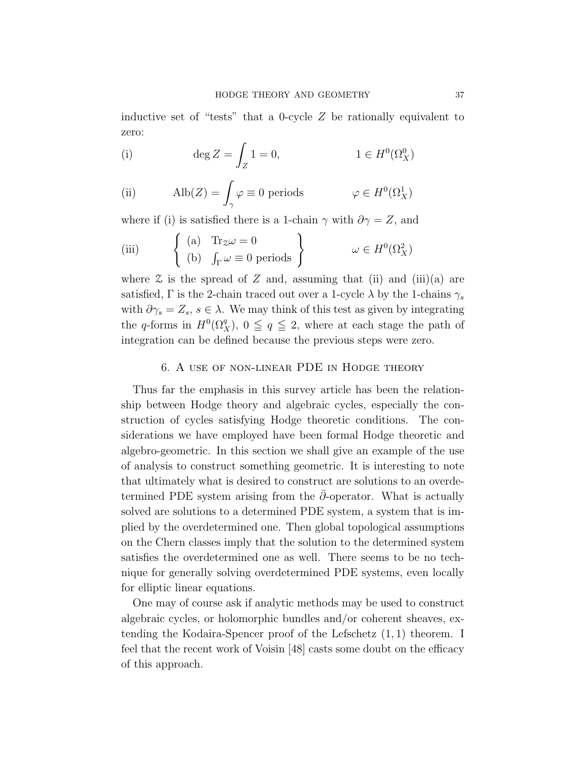inductive set of "tests" that a 0-cycle  $Z$  be rationally equivalent to zero:

(i) 
$$
\deg Z = \int_Z 1 = 0, \qquad 1 \in H^0(\Omega^0_X)
$$

(ii) 
$$
\text{Alb}(Z) = \int_{\gamma} \varphi \equiv 0 \text{ periods} \qquad \varphi \in H^{0}(\Omega_{X}^{1})
$$

where if (i) is satisfied there is a 1-chain  $\gamma$  with  $\partial \gamma = Z$ , and

(iii) 
$$
\begin{cases} (a) & \text{Tr}_{\mathcal{Z}}\omega = 0 \\ (b) & \int_{\Gamma} \omega \equiv 0 \text{ periods} \end{cases} \omega \in H^{0}(\Omega_{X}^{2})
$$

where  $\mathfrak X$  is the spread of Z and, assuming that (ii) and (iii)(a) are satisfied, Γ is the 2-chain traced out over a 1-cycle  $\lambda$  by the 1-chains  $\gamma_s$ with  $\partial \gamma_s = Z_s$ ,  $s \in \lambda$ . We may think of this test as given by integrating the q-forms in  $H^0(\Omega_X^q)$ ,  $0 \leq q \leq 2$ , where at each stage the path of integration can be defined because the previous steps were zero.

#### 6. A use of non-linear PDE in Hodge theory

Thus far the emphasis in this survey article has been the relationship between Hodge theory and algebraic cycles, especially the construction of cycles satisfying Hodge theoretic conditions. The considerations we have employed have been formal Hodge theoretic and algebro-geometric. In this section we shall give an example of the use of analysis to construct something geometric. It is interesting to note that ultimately what is desired to construct are solutions to an overdetermined PDE system arising from the  $\partial$ -operator. What is actually solved are solutions to a determined PDE system, a system that is implied by the overdetermined one. Then global topological assumptions on the Chern classes imply that the solution to the determined system satisfies the overdetermined one as well. There seems to be no technique for generally solving overdetermined PDE systems, even locally for elliptic linear equations.

One may of course ask if analytic methods may be used to construct algebraic cycles, or holomorphic bundles and/or coherent sheaves, extending the Kodaira-Spencer proof of the Lefschetz (1, 1) theorem. I feel that the recent work of Voisin [48] casts some doubt on the efficacy of this approach.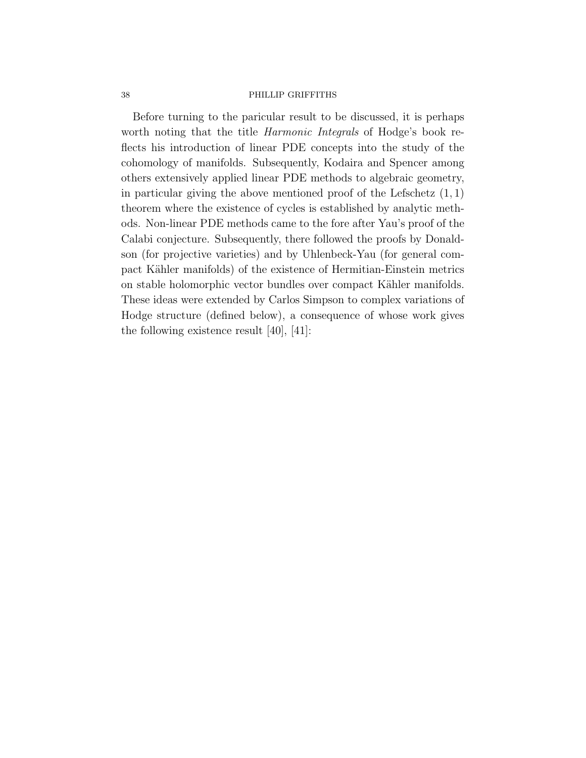Before turning to the paricular result to be discussed, it is perhaps worth noting that the title Harmonic Integrals of Hodge's book reflects his introduction of linear PDE concepts into the study of the cohomology of manifolds. Subsequently, Kodaira and Spencer among others extensively applied linear PDE methods to algebraic geometry, in particular giving the above mentioned proof of the Lefschetz  $(1, 1)$ theorem where the existence of cycles is established by analytic methods. Non-linear PDE methods came to the fore after Yau's proof of the Calabi conjecture. Subsequently, there followed the proofs by Donaldson (for projective varieties) and by Uhlenbeck-Yau (for general compact Kähler manifolds) of the existence of Hermitian-Einstein metrics on stable holomorphic vector bundles over compact Kähler manifolds. These ideas were extended by Carlos Simpson to complex variations of Hodge structure (defined below), a consequence of whose work gives the following existence result [40], [41]: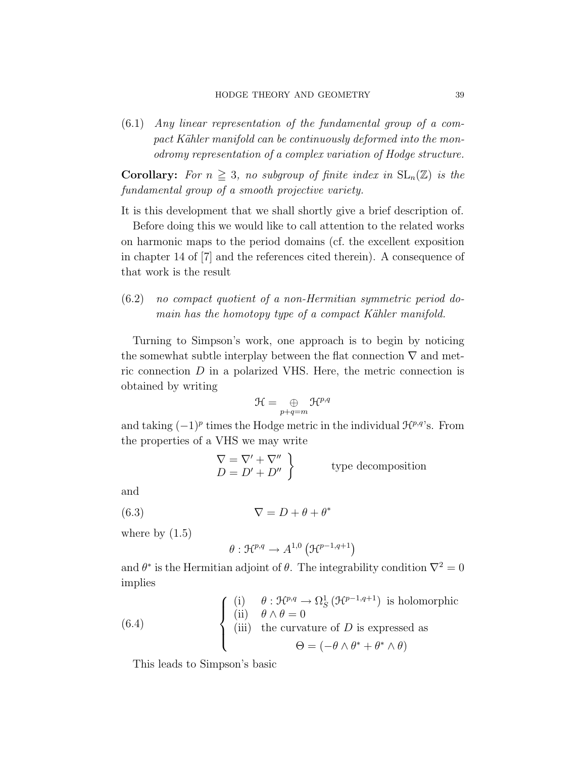(6.1) Any linear representation of the fundamental group of a compact Kähler manifold can be continuously deformed into the monodromy representation of a complex variation of Hodge structure.

**Corollary:** For  $n \geq 3$ , no subgroup of finite index in  $SL_n(\mathbb{Z})$  is the fundamental group of a smooth projective variety.

It is this development that we shall shortly give a brief description of.

Before doing this we would like to call attention to the related works on harmonic maps to the period domains (cf. the excellent exposition in chapter 14 of [7] and the references cited therein). A consequence of that work is the result

# (6.2) no compact quotient of a non-Hermitian symmetric period domain has the homotopy type of a compact Kähler manifold.

Turning to Simpson's work, one approach is to begin by noticing the somewhat subtle interplay between the flat connection  $\nabla$  and metric connection D in a polarized VHS. Here, the metric connection is obtained by writing

$$
\mathfrak{H}=\mathop{\oplus}_{p+q=m}\mathfrak{H}^{p,q}
$$

and taking  $(-1)^p$  times the Hodge metric in the individual  $\mathcal{H}^{p,q}$ 's. From the properties of a VHS we may write

$$
\nabla = \nabla' + \nabla''
$$
\n
$$
D = D' + D''
$$
\n
$$
\left.\n \begin{array}{c}\n \text{type decomposition} \\
 \text{type decomposition}\n \end{array}\n\right\}
$$

and

(6.3)  $\nabla = D + \theta + \theta^*$ 

where by  $(1.5)$ 

$$
\theta: \mathfrak{H}^{p,q} \to A^{1,0} \left( \mathfrak{H}^{p-1,q+1} \right)
$$

and  $\theta^*$  is the Hermitian adjoint of  $\theta$ . The integrability condition  $\nabla^2 = 0$ implies

(6.4) 
$$
\begin{cases}\n(i) & \theta : \mathcal{H}^{p,q} \to \Omega_S^1 (\mathcal{H}^{p-1,q+1}) \text{ is holomorphic} \\
(ii) & \theta \wedge \theta = 0 \\
(iii) & \text{the curvature of } D \text{ is expressed as} \\
\Theta = (-\theta \wedge \theta^* + \theta^* \wedge \theta)\n\end{cases}
$$

This leads to Simpson's basic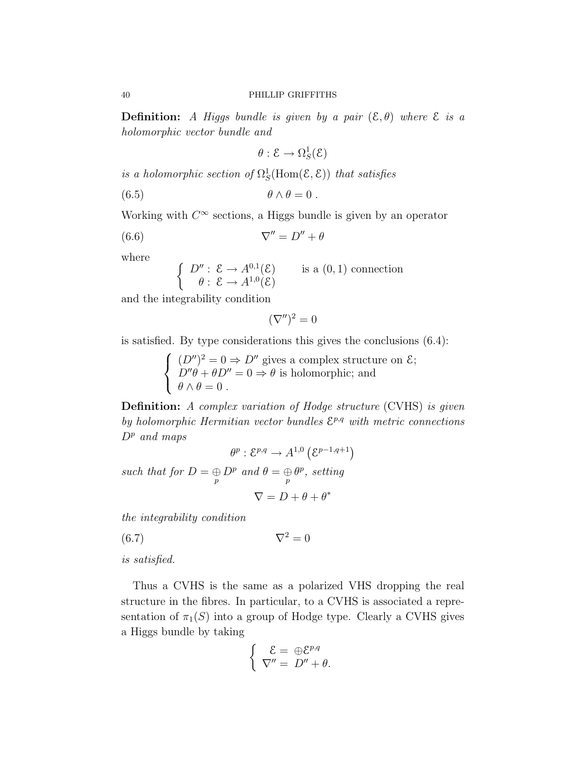**Definition:** A Higgs bundle is given by a pair  $(\mathcal{E}, \theta)$  where  $\mathcal{E}$  is a holomorphic vector bundle and

$$
\theta: \mathcal{E} \to \Omega^1_S(\mathcal{E})
$$

is a holomorphic section of  $\Omega_S^1$ (Hom $(\mathcal{E}, \mathcal{E})$ ) that satisfies

(6.5) θ ∧ θ = 0 .

Working with  $C^{\infty}$  sections, a Higgs bundle is given by an operator

$$
(6.6) \t\t \nabla'' = D'' + \theta
$$

where

$$
\begin{cases}\nD'' : \mathcal{E} \to A^{0,1}(\mathcal{E}) & \text{is a } (0,1) \text{ connection} \\
\theta : \mathcal{E} \to A^{1,0}(\mathcal{E})\n\end{cases}
$$

and the integrability condition

$$
(\nabla'')^2 = 0
$$

is satisfied. By type considerations this gives the conclusions (6.4):

 $\sqrt{ }$  $\int$  $\mathcal{L}$  $(D'')^2 = 0 \Rightarrow D''$  gives a complex structure on  $\mathcal{E};$  $D''\theta + \theta D'' = 0 \Rightarrow \theta$  is holomorphic; and  $\theta \wedge \theta = 0$ .

Definition: A complex variation of Hodge structure (CVHS) is given by holomorphic Hermitian vector bundles  $\mathcal{E}^{p,q}$  with metric connections  $D^p$  and maps

$$
\theta^p : \mathcal{E}^{p,q} \to A^{1,0} \left( \mathcal{E}^{p-1,q+1} \right)
$$
  
*D<sup>p</sup>* and  $\theta = \bigoplus \theta^p$ , setting

such that for  $D = \bigoplus_{p} D^p$  and  $\theta = \bigoplus_{p} \theta^p$ , setting  $\nabla = D + \theta + \theta^*$ 

the integrability condition

(6.7)  $\nabla^2 = 0$ 

is satisfied.

Thus a CVHS is the same as a polarized VHS dropping the real structure in the fibres. In particular, to a CVHS is associated a representation of  $\pi_1(S)$  into a group of Hodge type. Clearly a CVHS gives a Higgs bundle by taking

$$
\begin{cases}\n\mathcal{E} = \bigoplus \mathcal{E}^{p,q} \\
\nabla'' = D'' + \theta.\n\end{cases}
$$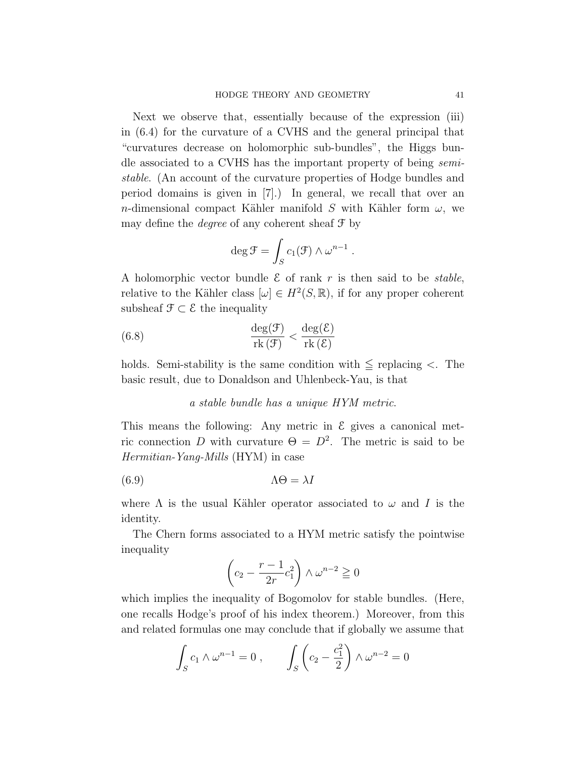Next we observe that, essentially because of the expression (iii) in (6.4) for the curvature of a CVHS and the general principal that "curvatures decrease on holomorphic sub-bundles", the Higgs bundle associated to a CVHS has the important property of being semistable. (An account of the curvature properties of Hodge bundles and period domains is given in [7].) In general, we recall that over an n-dimensional compact Kähler manifold S with Kähler form  $\omega$ , we may define the *degree* of any coherent sheaf  $\mathcal{F}$  by

$$
\deg \mathcal{F} = \int_{S} c_1(\mathcal{F}) \wedge \omega^{n-1}
$$

.

A holomorphic vector bundle  $\mathcal E$  of rank r is then said to be *stable*, relative to the Kähler class  $[\omega] \in H^2(S, \mathbb{R})$ , if for any proper coherent subsheaf  $\mathcal{F} \subset \mathcal{E}$  the inequality

(6.8) 
$$
\frac{\deg(\mathcal{F})}{\text{rk}(\mathcal{F})} < \frac{\deg(\mathcal{E})}{\text{rk}(\mathcal{E})}
$$

holds. Semi-stability is the same condition with  $\leq$  replacing  $\lt$ . The basic result, due to Donaldson and Uhlenbeck-Yau, is that

#### a stable bundle has a unique HYM metric.

This means the following: Any metric in  $\mathcal E$  gives a canonical metric connection D with curvature  $\Theta = D^2$ . The metric is said to be Hermitian-Yang-Mills (HYM) in case

(6.9) ΛΘ = λI

where  $\Lambda$  is the usual Kähler operator associated to  $\omega$  and I is the identity.

The Chern forms associated to a HYM metric satisfy the pointwise inequality

$$
\left(c_2 - \frac{r-1}{2r}c_1^2\right) \wedge \omega^{n-2} \ge 0
$$

which implies the inequality of Bogomolov for stable bundles. (Here, one recalls Hodge's proof of his index theorem.) Moreover, from this and related formulas one may conclude that if globally we assume that

$$
\int_{S} c_1 \wedge \omega^{n-1} = 0 , \qquad \int_{S} \left( c_2 - \frac{c_1^2}{2} \right) \wedge \omega^{n-2} = 0
$$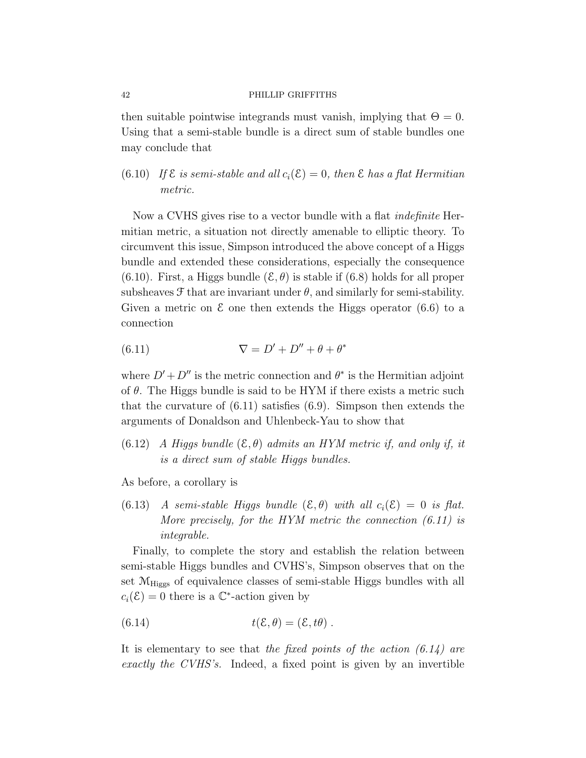then suitable pointwise integrands must vanish, implying that  $\Theta = 0$ . Using that a semi-stable bundle is a direct sum of stable bundles one may conclude that

(6.10) If  $\mathcal E$  is semi-stable and all  $c_i(\mathcal E)=0$ , then  $\mathcal E$  has a flat Hermitian metric.

Now a CVHS gives rise to a vector bundle with a flat *indefinite* Hermitian metric, a situation not directly amenable to elliptic theory. To circumvent this issue, Simpson introduced the above concept of a Higgs bundle and extended these considerations, especially the consequence (6.10). First, a Higgs bundle  $(\mathcal{E}, \theta)$  is stable if (6.8) holds for all proper subsheaves  $\mathcal F$  that are invariant under  $\theta$ , and similarly for semi-stability. Given a metric on  $\mathcal E$  one then extends the Higgs operator (6.6) to a connection

(6.11) 
$$
\nabla = D' + D'' + \theta + \theta^*
$$

where  $D' + D''$  is the metric connection and  $\theta^*$  is the Hermitian adjoint of  $\theta$ . The Higgs bundle is said to be HYM if there exists a metric such that the curvature of  $(6.11)$  satisfies  $(6.9)$ . Simpson then extends the arguments of Donaldson and Uhlenbeck-Yau to show that

(6.12) A Higgs bundle  $(\mathcal{E}, \theta)$  admits an HYM metric if, and only if, it is a direct sum of stable Higgs bundles.

As before, a corollary is

(6.13) A semi-stable Higgs bundle  $(\mathcal{E}, \theta)$  with all  $c_i(\mathcal{E}) = 0$  is flat. More precisely, for the HYM metric the connection  $(6.11)$  is integrable.

Finally, to complete the story and establish the relation between semi-stable Higgs bundles and CVHS's, Simpson observes that on the set  $M_{\text{Higgs}}$  of equivalence classes of semi-stable Higgs bundles with all  $c_i(\mathcal{E}) = 0$  there is a  $\mathbb{C}^*$ -action given by

(6.14) 
$$
t(\mathcal{E}, \theta) = (\mathcal{E}, t\theta).
$$

It is elementary to see that the fixed points of the action  $(6.14)$  are exactly the CVHS's. Indeed, a fixed point is given by an invertible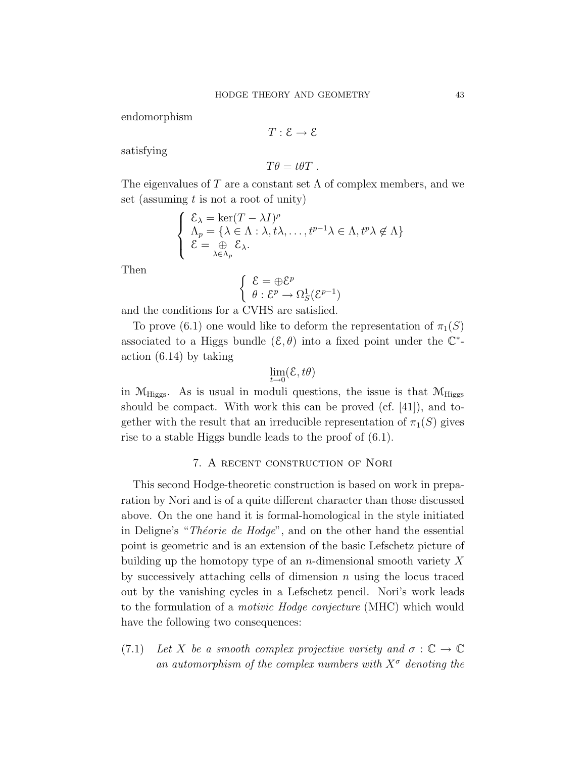endomorphism

$$
T:\mathcal{E}\to\mathcal{E}
$$

satisfying

$$
T\theta = t\theta T.
$$

The eigenvalues of T are a constant set  $\Lambda$  of complex members, and we set (assuming  $t$  is not a root of unity)

$$
\begin{cases} \n\mathcal{E}_{\lambda} = \ker(T - \lambda I)^{\rho} \\
\Lambda_p = \{\lambda \in \Lambda : \lambda, t\lambda, \dots, t^{p-1}\lambda \in \Lambda, t^p\lambda \notin \Lambda\} \\
\mathcal{E} = \bigoplus_{\lambda \in \Lambda_p} \mathcal{E}_{\lambda}.\n\end{cases}
$$

Then

$$
\left\{ \begin{array}{l} \mathcal{E} = \oplus \mathcal{E}^p \\ \theta: \mathcal{E}^p \to \Omega^1_S(\mathcal{E}^{p-1}) \end{array} \right.
$$

and the conditions for a CVHS are satisfied.

To prove (6.1) one would like to deform the representation of  $\pi_1(S)$ associated to a Higgs bundle  $(\mathcal{E}, \theta)$  into a fixed point under the  $\mathbb{C}^*$ action (6.14) by taking

$$
\lim_{t\to 0} (\mathcal{E}, t\theta)
$$

in  $M_{\text{Higgs}}$ . As is usual in moduli questions, the issue is that  $M_{\text{Higgs}}$ should be compact. With work this can be proved (cf. [41]), and together with the result that an irreducible representation of  $\pi_1(S)$  gives rise to a stable Higgs bundle leads to the proof of (6.1).

## 7. A recent construction of Nori

This second Hodge-theoretic construction is based on work in preparation by Nori and is of a quite different character than those discussed above. On the one hand it is formal-homological in the style initiated in Deligne's "Théorie de Hodge", and on the other hand the essential point is geometric and is an extension of the basic Lefschetz picture of building up the homotopy type of an *n*-dimensional smooth variety  $X$ by successively attaching cells of dimension  $n$  using the locus traced out by the vanishing cycles in a Lefschetz pencil. Nori's work leads to the formulation of a motivic Hodge conjecture (MHC) which would have the following two consequences:

(7.1) Let X be a smooth complex projective variety and  $\sigma : \mathbb{C} \to \mathbb{C}$ an automorphism of the complex numbers with  $X^{\sigma}$  denoting the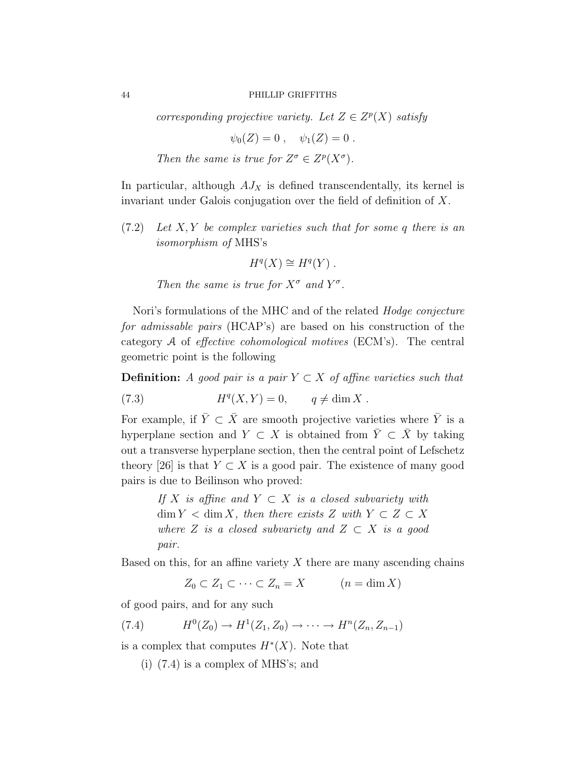corresponding projective variety. Let  $Z \in Z^p(X)$  satisfy

 $\psi_0(Z) = 0$ ,  $\psi_1(Z) = 0$ .

Then the same is true for  $Z^{\sigma} \in Z^{p}(X^{\sigma})$ .

In particular, although  $AJ<sub>X</sub>$  is defined transcendentally, its kernel is invariant under Galois conjugation over the field of definition of X.

 $(7.2)$  Let X, Y be complex varieties such that for some q there is an isomorphism of MHS's

$$
H^q(X) \cong H^q(Y) .
$$

Then the same is true for  $X^{\sigma}$  and  $Y^{\sigma}$ .

Nori's formulations of the MHC and of the related *Hodge conjecture* for admissable pairs (HCAP's) are based on his construction of the category A of effective cohomological motives (ECM's). The central geometric point is the following

**Definition:** A good pair is a pair  $Y \subset X$  of affine varieties such that

(7.3) 
$$
H^{q}(X,Y) = 0, \qquad q \neq \dim X.
$$

For example, if  $\bar{Y} \subset \bar{X}$  are smooth projective varieties where  $\bar{Y}$  is a hyperplane section and  $Y \subset X$  is obtained from  $\overline{Y} \subset \overline{X}$  by taking out a transverse hyperplane section, then the central point of Lefschetz theory [26] is that  $Y \subset X$  is a good pair. The existence of many good pairs is due to Beilinson who proved:

> If X is affine and  $Y \subset X$  is a closed subvariety with  $\dim Y < \dim X$ , then there exists Z with  $Y \subset Z \subset X$ where Z is a closed subvariety and  $Z \subset X$  is a good pair.

Based on this, for an affine variety  $X$  there are many ascending chains

 $Z_0 \subset Z_1 \subset \cdots \subset Z_n = X \qquad (n = \dim X)$ 

of good pairs, and for any such

$$
(7.4) \tH0(Z0) \to H1(Z1, Z0) \to \cdots \to Hn(Zn, Zn-1)
$$

is a complex that computes  $H^*(X)$ . Note that

(i) (7.4) is a complex of MHS's; and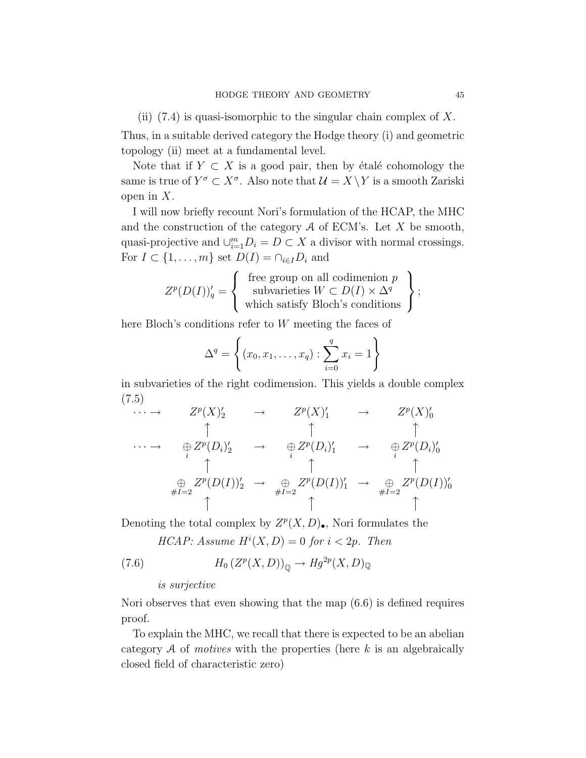(ii)  $(7.4)$  is quasi-isomorphic to the singular chain complex of X.

Thus, in a suitable derived category the Hodge theory (i) and geometric topology (ii) meet at a fundamental level.

Note that if  $Y \subset X$  is a good pair, then by étalé cohomology the same is true of  $Y^{\sigma} \subset X^{\sigma}$ . Also note that  $\mathcal{U} = X \setminus Y$  is a smooth Zariski open in  $X$ .

I will now briefly recount Nori's formulation of the HCAP, the MHC and the construction of the category  $A$  of ECM's. Let  $X$  be smooth, quasi-projective and  $\bigcup_{i=1}^{m} D_i = D \subset X$  a divisor with normal crossings. For  $I \subset \{1, \ldots, m\}$  set  $D(I) = \bigcap_{i \in I} D_i$  and

$$
Z^{p}(D(I))'_{q} = \left\{\begin{array}{c} \text{free group on all codimension } p \\ \text{subvarieties } W \subset D(I) \times \Delta^{q} \\ \text{which satisfy Bloch's conditions} \end{array}\right\};
$$

here Bloch's conditions refer to W meeting the faces of

$$
\Delta^{q} = \left\{ (x_0, x_1, \dots, x_q) : \sum_{i=0}^{q} x_i = 1 \right\}
$$

in subvarieties of the right codimension. This yields a double complex (7.5)

$$
\cdots \rightarrow Z^p(X)'_2 \rightarrow Z^p(X)'_1 \rightarrow Z^p(X)'_0
$$
\n
$$
\uparrow \uparrow \uparrow \uparrow \uparrow
$$
\n
$$
\oplus Z^p(D_i)'_2 \rightarrow \oplus Z^p(D_i)'_1 \rightarrow \oplus Z^p(D_i)'_0
$$
\n
$$
\uparrow \uparrow \uparrow \uparrow \uparrow
$$
\n
$$
\oplus Z^p(D(I))'_2 \rightarrow \oplus Z^p(D(I))'_1 \rightarrow \oplus Z^p(D(I))'_0
$$
\n
$$
\uparrow \uparrow \uparrow
$$
\n
$$
\uparrow \uparrow \uparrow
$$
\n
$$
\uparrow \uparrow \uparrow
$$

Denoting the total complex by  $Z^p(X, D)$ . Nori formulates the

HCAP: Assume  $H^{i}(X, D) = 0$  for  $i < 2p$ . Then

(7.6) 
$$
H_0(Z^p(X,D))_{\mathbb{Q}} \to Hg^{2p}(X,D)_{\mathbb{Q}}
$$

#### is surjective

Nori observes that even showing that the map (6.6) is defined requires proof.

To explain the MHC, we recall that there is expected to be an abelian category  $A$  of *motives* with the properties (here  $k$  is an algebraically closed field of characteristic zero)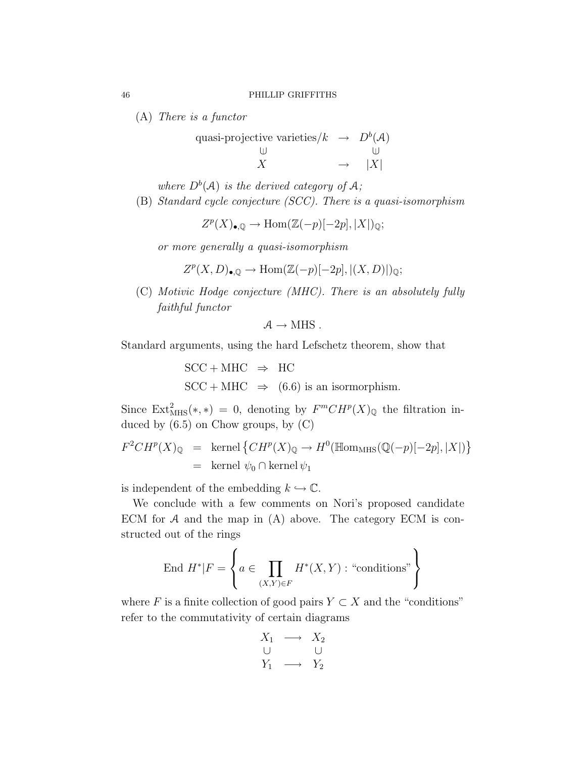(A) There is a functor

quasi-projective varieties/k 
$$
\rightarrow D^b(\mathcal{A})
$$
  
\n $\begin{array}{ccc}\n\cup & \cup & \cup \\
X & \rightarrow & |X|\n\end{array}$ 

where  $D^b(\mathcal{A})$  is the derived category of  $\mathcal{A}$ ;

(B) Standard cycle conjecture (SCC). There is a quasi-isomorphism

$$
Z^p(X)_{\bullet,\mathbb{Q}} \to \text{Hom}(\mathbb{Z}(-p)[-2p], |X|)_{\mathbb{Q}};
$$

or more generally a quasi-isomorphism

$$
Z^p(X,D)_{\bullet,\mathbb{Q}} \to \text{Hom}(\mathbb{Z}(-p)[-2p], |(X,D)|)_{\mathbb{Q}};
$$

(C) Motivic Hodge conjecture (MHC). There is an absolutely fully faithful functor

$$
\mathcal{A} \to \text{MHS} \ .
$$

Standard arguments, using the hard Lefschetz theorem, show that

 $SCC + MHC \Rightarrow HC$  $SCC + MHC \Rightarrow (6.6)$  is an isormorphism.

Since  $\text{Ext}_{\text{MHS}}^2(*) = 0$ , denoting by  $F^mCH^p(X)_{\mathbb{Q}}$  the filtration induced by  $(6.5)$  on Chow groups, by  $(C)$ 

$$
F^2CH^p(X)_{\mathbb{Q}} = \text{kernel}\left\{CH^p(X)_{\mathbb{Q}} \to H^0(\mathbb{Hom}_{\text{MHS}}(\mathbb{Q}(-p)[-2p], |X|)\right\}
$$
  
= kernel  $\psi_0 \cap \text{kernel } \psi_1$ 

is independent of the embedding  $k \hookrightarrow \mathbb{C}$ .

We conclude with a few comments on Nori's proposed candidate ECM for  $A$  and the map in  $(A)$  above. The category ECM is constructed out of the rings

$$
\text{End } H^*|F = \left\{ a \in \prod_{(X,Y)\in F} H^*(X,Y) : \text{``conditions''} \right\}
$$

where F is a finite collection of good pairs  $Y \subset X$  and the "conditions" refer to the commutativity of certain diagrams

$$
\begin{array}{ccc}\nX_1 & \longrightarrow & X_2 \\
\cup & & \cup \\
Y_1 & \longrightarrow & Y_2\n\end{array}
$$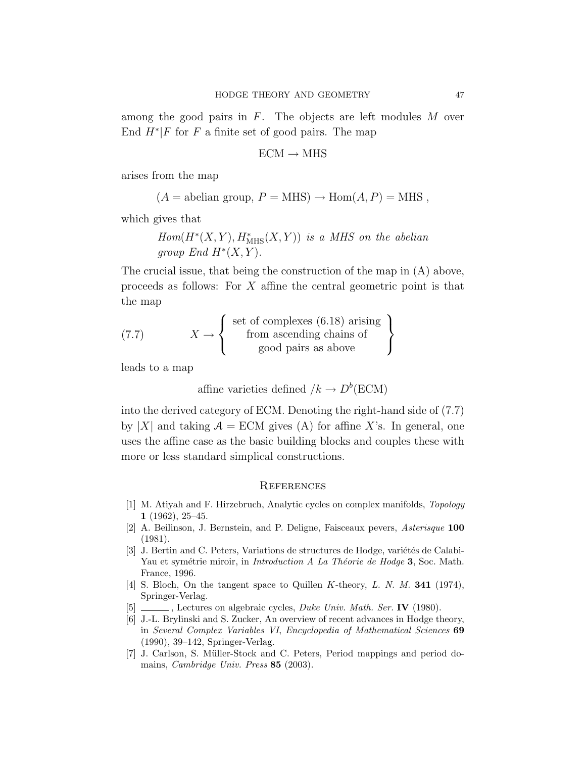among the good pairs in  $F$ . The objects are left modules  $M$  over End  $H^*$  F for F a finite set of good pairs. The map

$$
\text{ECM} \rightarrow \text{MHS}
$$

arises from the map

$$
(A = abelian group, P = MHS) \rightarrow Hom(A, P) = MHS
$$
,

which gives that

$$
Hom(H^*(X, Y), H^*_{\text{MHS}}(X, Y)) \text{ is a MHS on the abelian}
$$
  
group End  $H^*(X, Y)$ .

The crucial issue, that being the construction of the map in (A) above, proceeds as follows: For X affine the central geometric point is that the map

(7.7) 
$$
X \to \left\{ \begin{array}{c} \text{set of complexes } (6.18) \text{ arising} \\ \text{from ascending chains of} \\ \text{good pairs as above} \end{array} \right\}
$$

leads to a map

affine varieties defined  $/k \to D^b(\text{ECM})$ 

into the derived category of ECM. Denoting the right-hand side of (7.7) by |X| and taking  $A = ECM$  gives (A) for affine X's. In general, one uses the affine case as the basic building blocks and couples these with more or less standard simplical constructions.

#### **REFERENCES**

- [1] M. Atiyah and F. Hirzebruch, Analytic cycles on complex manifolds, Topology 1 (1962), 25–45.
- [2] A. Beilinson, J. Bernstein, and P. Deligne, Faisceaux pevers, Asterisque 100 (1981).
- $[3]$  J. Bertin and C. Peters, Variations de structures de Hodge, variétés de Calabi-Yau et symétrie miroir, in *Introduction A La Théorie de Hodge* 3, Soc. Math. France, 1996.
- [4] S. Bloch, On the tangent space to Quillen K-theory, L. N. M. 341 (1974), Springer-Verlag.
- [5] \_\_\_\_\_\_, Lectures on algebraic cycles, *Duke Univ. Math. Ser.* IV (1980).
- [6] J.-L. Brylinski and S. Zucker, An overview of recent advances in Hodge theory, in Several Complex Variables VI, Encyclopedia of Mathematical Sciences 69 (1990), 39–142, Springer-Verlag.
- [7] J. Carlson, S. Müller-Stock and C. Peters, Period mappings and period domains, Cambridge Univ. Press 85 (2003).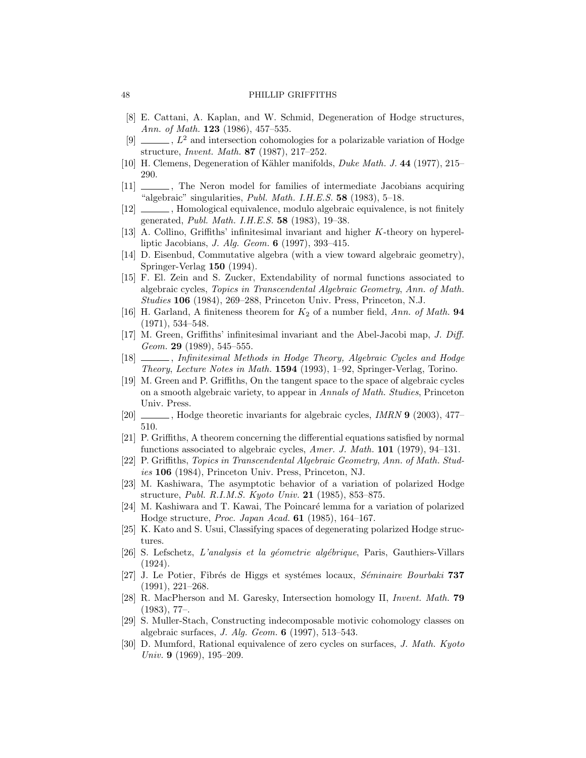- [8] E. Cattani, A. Kaplan, and W. Schmid, Degeneration of Hodge structures, Ann. of Math. **123** (1986), 457-535.
- [9]  $\ldots$ ,  $L^2$  and intersection cohomologies for a polarizable variation of Hodge structure, Invent. Math. 87 (1987), 217–252.
- [10] H. Clemens, Degeneration of Kähler manifolds, *Duke Math. J.* 44 (1977), 215– 290.
- [11] , The Neron model for families of intermediate Jacobians acquiring "algebraic" singularities, *Publ. Math. I.H.E.S.* 58  $(1983)$ , 5-18.
- [12]  $\quad \qquad$ , Homological equivalence, modulo algebraic equivalence, is not finitely generated, Publ. Math. I.H.E.S. 58 (1983), 19–38.
- [13] A. Collino, Griffiths' infinitesimal invariant and higher K-theory on hyperelliptic Jacobians, J. Alg. Geom. 6 (1997), 393–415.
- [14] D. Eisenbud, Commutative algebra (with a view toward algebraic geometry), Springer-Verlag 150 (1994).
- [15] F. El. Zein and S. Zucker, Extendability of normal functions associated to algebraic cycles, Topics in Transcendental Algebraic Geometry, Ann. of Math. Studies 106 (1984), 269–288, Princeton Univ. Press, Princeton, N.J.
- [16] H. Garland, A finiteness theorem for  $K_2$  of a number field, Ann. of Math. 94 (1971), 534–548.
- [17] M. Green, Griffiths' infinitesimal invariant and the Abel-Jacobi map, J. Diff. Geom. 29 (1989), 545-555.
- [18]  $\_\_\_\_\$ , Infinitesimal Methods in Hodge Theory, Algebraic Cycles and Hodge Theory, Lecture Notes in Math. 1594 (1993), 1–92, Springer-Verlag, Torino.
- [19] M. Green and P. Griffiths, On the tangent space to the space of algebraic cycles on a smooth algebraic variety, to appear in Annals of Math. Studies, Princeton Univ. Press.
- [20] , Hodge theoretic invariants for algebraic cycles, *IMRN* **9** (2003), 477– 510.
- [21] P. Griffiths, A theorem concerning the differential equations satisfied by normal functions associated to algebraic cycles, Amer. J. Math.  $101$  (1979), 94–131.
- [22] P. Griffiths, Topics in Transcendental Algebraic Geometry, Ann. of Math. Studies 106 (1984), Princeton Univ. Press, Princeton, NJ.
- [23] M. Kashiwara, The asymptotic behavior of a variation of polarized Hodge structure, *Publ. R.I.M.S. Kyoto Univ.* **21** (1985), 853-875.
- [24] M. Kashiwara and T. Kawai, The Poincaré lemma for a variation of polarized Hodge structure, Proc. Japan Acad. 61 (1985), 164–167.
- [25] K. Kato and S. Usui, Classifying spaces of degenerating polarized Hodge structures.
- [26] S. Lefschetz, L'analysis et la géometrie algébrique, Paris, Gauthiers-Villars (1924).
- [27] J. Le Potier, Fibrés de Higgs et systèmes locaux, Séminaire Bourbaki 737 (1991), 221–268.
- [28] R. MacPherson and M. Garesky, Intersection homology II, Invent. Math. 79 (1983), 77–.
- [29] S. Muller-Stach, Constructing indecomposable motivic cohomology classes on algebraic surfaces, J. Alg. Geom. 6 (1997), 513–543.
- [30] D. Mumford, Rational equivalence of zero cycles on surfaces, J. Math. Kyoto Univ. 9  $(1969)$ , 195-209.